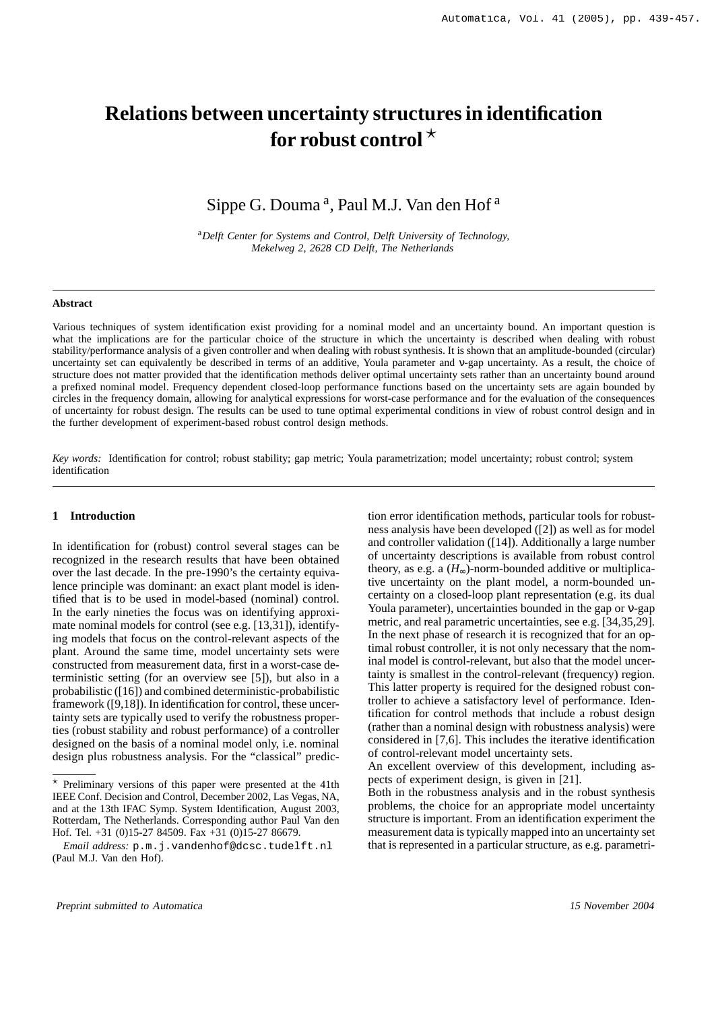# **Relations between uncertainty structures in identification for robust control**

# Sippe G. Douma<sup>a</sup>, Paul M.J. Van den Hof<sup>a</sup>

<sup>a</sup>*Delft Center for Systems and Control, Delft University of Technology, Mekelweg 2, 2628 CD Delft, The Netherlands*

#### **Abstract**

Various techniques of system identification exist providing for a nominal model and an uncertainty bound. An important question is what the implications are for the particular choice of the structure in which the uncertainty is described when dealing with robust stability/performance analysis of a given controller and when dealing with robust synthesis. It is shown that an amplitude-bounded (circular) uncertainty set can equivalently be described in terms of an additive, Youla parameter and ν-gap uncertainty. As a result, the choice of structure does not matter provided that the identification methods deliver optimal uncertainty sets rather than an uncertainty bound around a prefixed nominal model. Frequency dependent closed-loop performance functions based on the uncertainty sets are again bounded by circles in the frequency domain, allowing for analytical expressions for worst-case performance and for the evaluation of the consequences of uncertainty for robust design. The results can be used to tune optimal experimental conditions in view of robust control design and in the further development of experiment-based robust control design methods.

*Key words:* Identification for control; robust stability; gap metric; Youla parametrization; model uncertainty; robust control; system identification

#### **1 Introduction**

In identification for (robust) control several stages can be recognized in the research results that have been obtained over the last decade. In the pre-1990's the certainty equivalence principle was dominant: an exact plant model is identified that is to be used in model-based (nominal) control. In the early nineties the focus was on identifying approximate nominal models for control (see e.g. [13,31]), identifying models that focus on the control-relevant aspects of the plant. Around the same time, model uncertainty sets were constructed from measurement data, first in a worst-case deterministic setting (for an overview see [5]), but also in a probabilistic ([16]) and combined deterministic-probabilistic framework ([9,18]). In identification for control, these uncertainty sets are typically used to verify the robustness properties (robust stability and robust performance) of a controller designed on the basis of a nominal model only, i.e. nominal design plus robustness analysis. For the "classical" prediction error identification methods, particular tools for robustness analysis have been developed ([2]) as well as for model and controller validation ([14]). Additionally a large number of uncertainty descriptions is available from robust control theory, as e.g. a  $(H_{\infty})$ -norm-bounded additive or multiplicative uncertainty on the plant model, a norm-bounded uncertainty on a closed-loop plant representation (e.g. its dual Youla parameter), uncertainties bounded in the gap or ν-gap metric, and real parametric uncertainties, see e.g. [34,35,29]. In the next phase of research it is recognized that for an optimal robust controller, it is not only necessary that the nominal model is control-relevant, but also that the model uncertainty is smallest in the control-relevant (frequency) region. This latter property is required for the designed robust controller to achieve a satisfactory level of performance. Identification for control methods that include a robust design (rather than a nominal design with robustness analysis) were considered in [7,6]. This includes the iterative identification of control-relevant model uncertainty sets.

An excellent overview of this development, including aspects of experiment design, is given in [21].

Both in the robustness analysis and in the robust synthesis problems, the choice for an appropriate model uncertainty structure is important. From an identification experiment the measurement data is typically mapped into an uncertainty set that is represented in a particular structure, as e.g. parametri-

 $*$  Preliminary versions of this paper were presented at the 41th IEEE Conf. Decision and Control, December 2002, Las Vegas, NA, and at the 13th IFAC Symp. System Identification, August 2003, Rotterdam, The Netherlands. Corresponding author Paul Van den Hof. Tel. +31 (0)15-27 84509. Fax +31 (0)15-27 86679.

*Email address:* p.m.j.vandenhof@dcsc.tudelft.nl (Paul M.J. Van den Hof).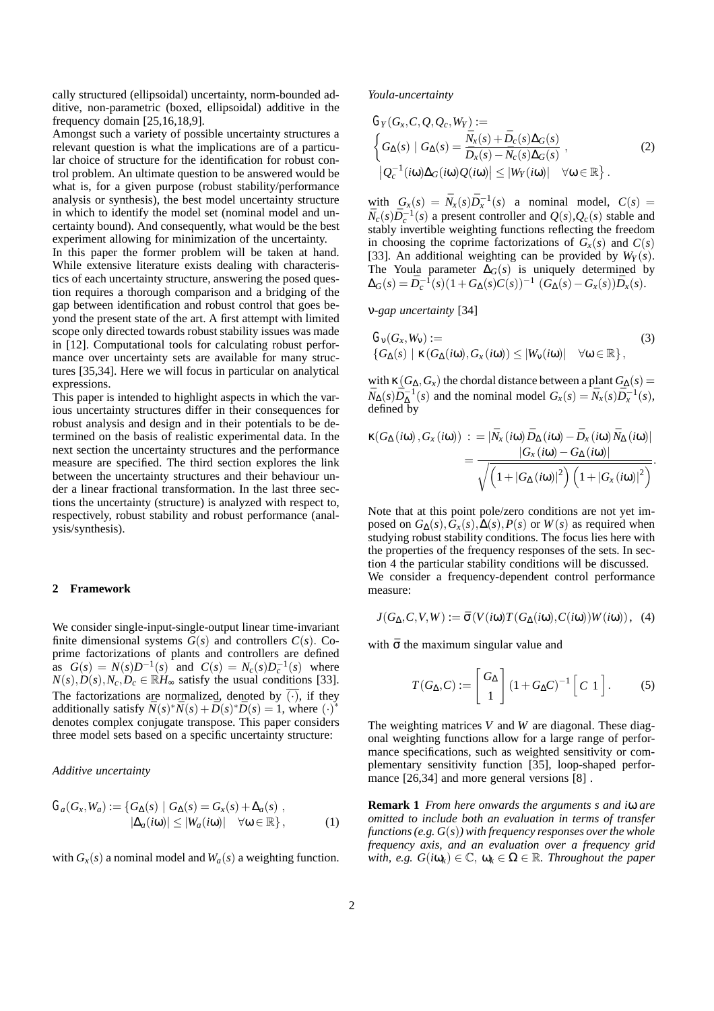cally structured (ellipsoidal) uncertainty, norm-bounded additive, non-parametric (boxed, ellipsoidal) additive in the frequency domain [25,16,18,9].

Amongst such a variety of possible uncertainty structures a relevant question is what the implications are of a particular choice of structure for the identification for robust control problem. An ultimate question to be answered would be what is, for a given purpose (robust stability/performance analysis or synthesis), the best model uncertainty structure in which to identify the model set (nominal model and uncertainty bound). And consequently, what would be the best experiment allowing for minimization of the uncertainty.

In this paper the former problem will be taken at hand. While extensive literature exists dealing with characteristics of each uncertainty structure, answering the posed question requires a thorough comparison and a bridging of the gap between identification and robust control that goes beyond the present state of the art. A first attempt with limited scope only directed towards robust stability issues was made in [12]. Computational tools for calculating robust performance over uncertainty sets are available for many structures [35,34]. Here we will focus in particular on analytical expressions.

This paper is intended to highlight aspects in which the various uncertainty structures differ in their consequences for robust analysis and design and in their potentials to be determined on the basis of realistic experimental data. In the next section the uncertainty structures and the performance measure are specified. The third section explores the link between the uncertainty structures and their behaviour under a linear fractional transformation. In the last three sections the uncertainty (structure) is analyzed with respect to, respectively, robust stability and robust performance (analysis/synthesis).

# **2 Framework**

We consider single-input-single-output linear time-invariant finite dimensional systems  $G(s)$  and controllers  $C(s)$ . Coprime factorizations of plants and controllers are defined as  $G(s) = N(s)D^{-1}(s)$  and  $C(s) = N_c(s)D_c^{-1}(s)$  where  $N(s)$ ,  $D(s)$ ,  $N_c$ ,  $D_c \in \mathbb{R}$ *H*<sub>∞</sub> satisfy the usual conditions [33]. The factorizations are normalized, denoted by  $\overline{(\cdot)}$ , if they additionally satisfy  $\bar{N}(s) * \bar{N}(s) + \bar{D}(s) * \bar{D}(s) = 1$ , where  $(\cdot)^*$ denotes complex conjugate transpose. This paper considers three model sets based on a specific uncertainty structure:

*Additive uncertainty*

$$
G_a(G_x, W_a) := \{ G_{\Delta}(s) \mid G_{\Delta}(s) = G_x(s) + \Delta_a(s) , |\Delta_a(i\omega)| \leq |W_a(i\omega)| \quad \forall \omega \in \mathbb{R} \},
$$
 (1)

with  $G_x(s)$  a nominal model and  $W_a(s)$  a weighting function.

*Youla-uncertainty*

$$
G_Y(G_x, C, Q, Q_c, W_Y) :=
$$
  
\n
$$
\begin{cases}\nG_{\Delta}(s) | G_{\Delta}(s) = \frac{\bar{N}_x(s) + \bar{D}_c(s)\Delta_G(s)}{\bar{D}_x(s) - \bar{N}_c(s)\Delta_G(s)}, & (2) \\
| Q_c^{-1}(i\omega)\Delta_G(i\omega)Q(i\omega) | \le |W_Y(i\omega)| \quad \forall \omega \in \mathbb{R}\n\end{cases}
$$

with  $G_x(s) = \overline{N}_x(s)\overline{D}_x^{-1}(s)$  a nominal model,  $C(s)$  $\bar{N}_c(s)\bar{D}_c^{-1}(s)$  a present controller and  $Q(s), Q_c(s)$  stable and stably invertible weighting functions reflecting the freedom in choosing the coprime factorizations of  $G_x(s)$  and  $C(s)$ [33]. An additional weighting can be provided by  $W_Y(s)$ . The Youla parameter ∆*G*(*s*) is uniquely determined by  $\Delta_G(s) = \bar{D}_c^{-1}(s)(1+G_{\Delta}(s)C(s))^{-1}$   $(G_{\Delta}(s)-G_{\chi}(s))\bar{D}_{\chi}(s).$ 

ν*-gap uncertainty* [34]

$$
G_{\mathsf{V}}(G_{\mathsf{x}}, W_{\mathsf{V}}) := (3)
$$
  

$$
\{G_{\Delta}(s) \mid \kappa(G_{\Delta}(i\omega), G_{\mathsf{x}}(i\omega)) \leq |W_{\mathsf{V}}(i\omega)| \quad \forall \omega \in \mathbb{R}\},
$$

with  $\kappa$  (*G*<sub> $\Delta$ </sub>, *G<sub>x</sub>*) the chordal distance between a plant *G*<sub> $\Delta$ </sub>(*s*) =  $\bar{N}_{\Delta}(s)\bar{D}_{\Delta}^{-1}(s)$  and the nominal model  $G_x(s) = \bar{N}_x(s)\bar{D}_x^{-1}(s)$ , defined by

$$
\kappa(G_{\Delta}(i\omega), G_{x}(i\omega))\;:=\; |\bar{N}_{x}(i\omega)\bar{D}_{\Delta}(i\omega)-\bar{D}_{x}(i\omega)\bar{N}_{\Delta}(i\omega)|\\ =\frac{|G_{x}(i\omega)-G_{\Delta}(i\omega)|}{\sqrt{\left(1+|G_{\Delta}(i\omega)|^{2}\right)\left(1+|G_{x}(i\omega)|^{2}\right)}}.
$$

Note that at this point pole/zero conditions are not yet imposed on  $G_{\Lambda}(s)$ ,  $G_{\chi}(s)$ ,  $\Delta(s)$ ,  $P(s)$  or  $W(s)$  as required when studying robust stability conditions. The focus lies here with the properties of the frequency responses of the sets. In section 4 the particular stability conditions will be discussed. We consider a frequency-dependent control performance measure:

$$
J(G_{\Delta}, C, V, W) := \bar{\sigma}(V(i\omega)T(G_{\Delta}(i\omega), C(i\omega))W(i\omega)), \quad (4)
$$

with  $\bar{\sigma}$  the maximum singular value and

$$
T(G_{\Delta}, C) := \begin{bmatrix} G_{\Delta} \\ 1 \end{bmatrix} (1 + G_{\Delta} C)^{-1} \begin{bmatrix} C & 1 \end{bmatrix}.
$$
 (5)

The weighting matrices *V* and *W* are diagonal. These diagonal weighting functions allow for a large range of performance specifications, such as weighted sensitivity or complementary sensitivity function [35], loop-shaped performance [26,34] and more general versions [8] .

**Remark 1** *From here onwards the arguments s and i*ω *are omitted to include both an evaluation in terms of transfer functions (e.g. G*(*s*)*) with frequency responses over the whole frequency axis, and an evaluation over a frequency grid with, e.g.*  $G(i\omega_k) \in \mathbb{C}$ ,  $\omega_k \in \Omega \in \mathbb{R}$ *. Throughout the paper*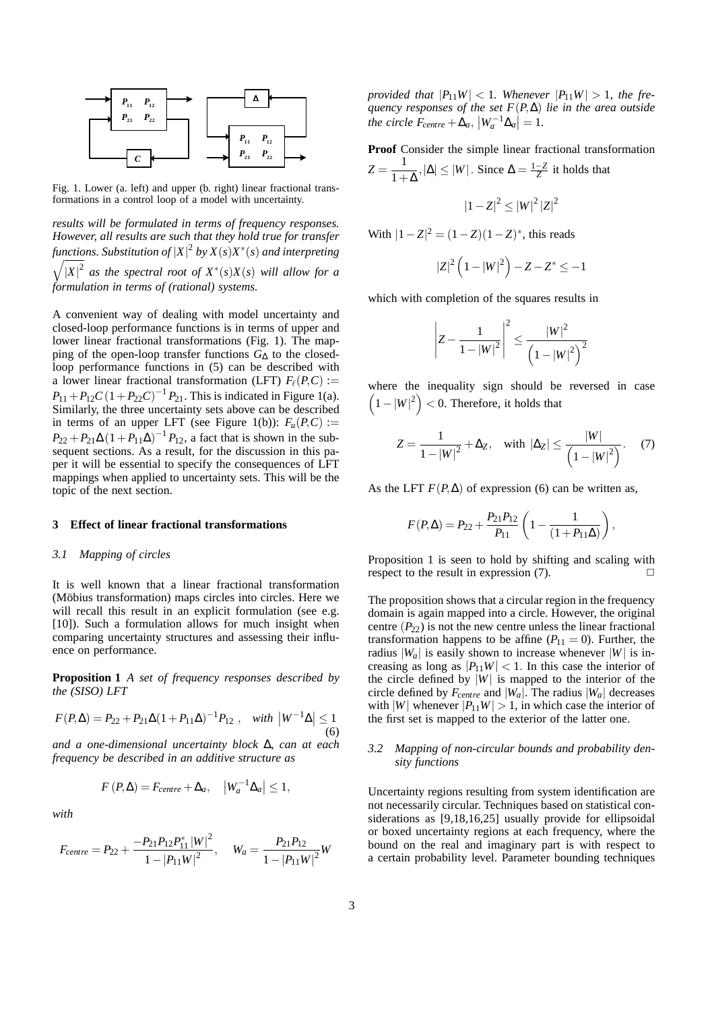

Fig. 1. Lower (a. left) and upper (b. right) linear fractional transformations in a control loop of a model with uncertainty.

*results will be formulated in terms of frequency responses. However, all results are such that they hold true for transfer functions. Substitution of* |*X*| <sup>2</sup> *by X*(*s*)*X*<sup>∗</sup> (*s*) *and interpreting*  $\sqrt{|X|^2}$  *as the spectral root of*  $X^*(s)X(s)$  *will allow for a formulation in terms of (rational) systems.*

A convenient way of dealing with model uncertainty and closed-loop performance functions is in terms of upper and lower linear fractional transformations (Fig. 1). The mapping of the open-loop transfer functions *G*<sup>∆</sup> to the closedloop performance functions in (5) can be described with a lower linear fractional transformation (LFT)  $F_{\ell}(P,C)$  :=  $P_{11} + P_{12}C(1 + P_{22}C)^{-1}P_{21}$ . This is indicated in Figure 1(a). Similarly, the three uncertainty sets above can be described in terms of an upper LFT (see Figure 1(b)):  $F_u(P, C)$  :=  $P_{22} + P_{21}\Delta(1 + P_{11}\Delta)^{-1}P_{12}$ , a fact that is shown in the subsequent sections. As a result, for the discussion in this paper it will be essential to specify the consequences of LFT mappings when applied to uncertainty sets. This will be the topic of the next section.

#### **3 Effect of linear fractional transformations**

#### *3.1 Mapping of circles*

It is well known that a linear fractional transformation (Möbius transformation) maps circles into circles. Here we will recall this result in an explicit formulation (see e.g. [10]). Such a formulation allows for much insight when comparing uncertainty structures and assessing their influence on performance.

**Proposition 1** *A set of frequency responses described by the (SISO) LFT*

$$
F(P,\Delta) = P_{22} + P_{21}\Delta(1 + P_{11}\Delta)^{-1}P_{12} , \quad with \ |W^{-1}\Delta| \le 1
$$
\n(6)

*and a one-dimensional uncertainty block* ∆*, can at each frequency be described in an additive structure as*

$$
F(P,\Delta) = F_{centre} + \Delta_a, \quad |W_a^{-1}\Delta_a| \le 1,
$$

*with*

$$
F_{centre} = P_{22} + \frac{-P_{21}P_{12}P_{11}^*|W|^2}{1 - |P_{11}W|^2}, \quad W_a = \frac{P_{21}P_{12}}{1 - |P_{11}W|^2}W
$$

*provided that*  $|P_{11}W| < 1$ *. Whenever*  $|P_{11}W| > 1$ *, the frequency responses of the set F*(*P*,∆) *lie in the area outside the circle*  $F_{centre} + \Delta_a$ ,  $|W_a^{-1} \Delta_a| = 1$ .

**Proof** Consider the simple linear fractional transformation  $Z = \frac{1}{1+\Delta}, |\Delta| \le |W|$ . Since  $\Delta = \frac{1-Z}{Z}$  it holds that

$$
|1-Z|^2 \leq |W|^2 |Z|^2
$$

With  $|1 - Z|^2 = (1 - Z)(1 - Z)^*$ , this reads

$$
|Z|^2 (1-|W|^2) - Z - Z^* \leq -1
$$

which with completion of the squares results in

$$
\left| Z - \frac{1}{1 - |W|^2} \right|^2 \le \frac{|W|^2}{\left( 1 - |W|^2 \right)^2}
$$

where the inequality sign should be reversed in case  $(1-|W|^2)$  < 0. Therefore, it holds that

$$
Z = \frac{1}{1 - |W|^2} + \Delta_Z, \quad \text{with } |\Delta_Z| \le \frac{|W|}{\left(1 - |W|^2\right)}.
$$
 (7)

As the LFT  $F(P, \Delta)$  of expression (6) can be written as,

$$
F(P,\Delta) = P_{22} + \frac{P_{21}P_{12}}{P_{11}} \left(1 - \frac{1}{(1 + P_{11}\Delta)}\right),
$$

Proposition 1 is seen to hold by shifting and scaling with respect to the result in expression  $(7)$ .

The proposition shows that a circular region in the frequency domain is again mapped into a circle. However, the original centre  $(P_{22})$  is not the new centre unless the linear fractional transformation happens to be affine  $(P_{11} = 0)$ . Further, the radius  $|W_a|$  is easily shown to increase whenever  $|W|$  is increasing as long as  $|P_{11}W| < 1$ . In this case the interior of the circle defined by  $|W|$  is mapped to the interior of the circle defined by  $F_{centre}$  and  $|W_a|$ . The radius  $|W_a|$  decreases with  $|W|$  whenever  $|P_{11}W| > 1$ , in which case the interior of the first set is mapped to the exterior of the latter one.

# *3.2 Mapping of non-circular bounds and probability density functions*

Uncertainty regions resulting from system identification are not necessarily circular. Techniques based on statistical considerations as [9,18,16,25] usually provide for ellipsoidal or boxed uncertainty regions at each frequency, where the bound on the real and imaginary part is with respect to a certain probability level. Parameter bounding techniques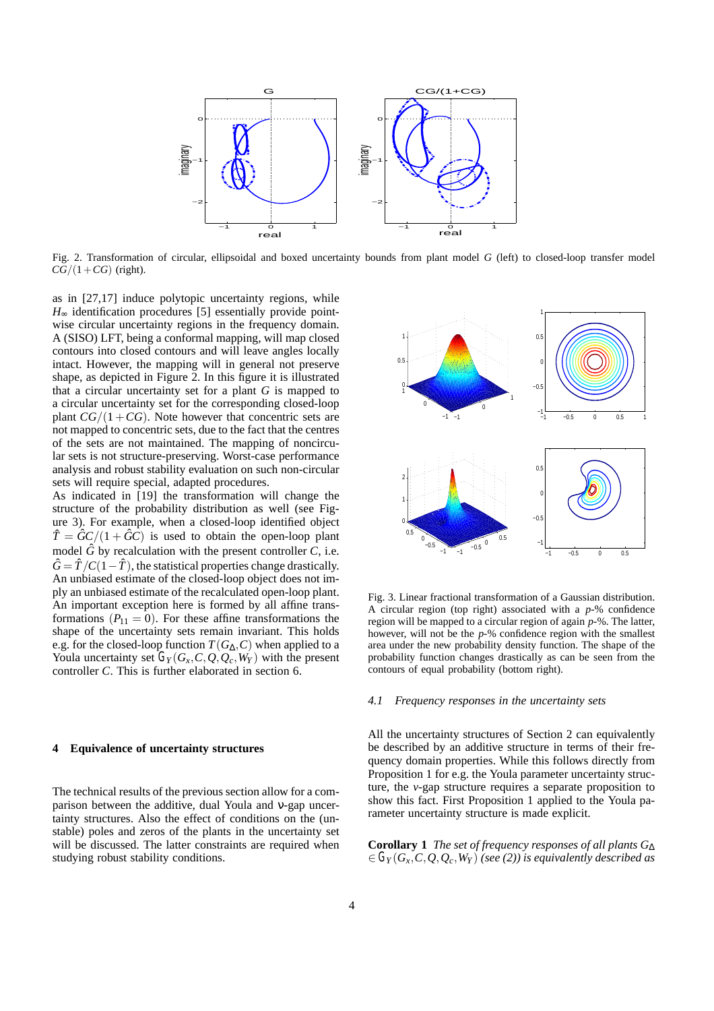

Fig. 2. Transformation of circular, ellipsoidal and boxed uncertainty bounds from plant model *G* (left) to closed-loop transfer model  $\overline{CG}/(1+CG)$  (right).

as in [27,17] induce polytopic uncertainty regions, while  $H_{\infty}$  identification procedures [5] essentially provide pointwise circular uncertainty regions in the frequency domain. A (SISO) LFT, being a conformal mapping, will map closed contours into closed contours and will leave angles locally intact. However, the mapping will in general not preserve shape, as depicted in Figure 2. In this figure it is illustrated that a circular uncertainty set for a plant *G* is mapped to a circular uncertainty set for the corresponding closed-loop plant  $CG/(1+CG)$ . Note however that concentric sets are not mapped to concentric sets, due to the fact that the centres of the sets are not maintained. The mapping of noncircular sets is not structure-preserving. Worst-case performance analysis and robust stability evaluation on such non-circular sets will require special, adapted procedures.

As indicated in [19] the transformation will change the structure of the probability distribution as well (see Figure 3). For example, when a closed-loop identified object  $\hat{T} = \hat{G}C/(1 + \hat{G}C)$  is used to obtain the open-loop plant model  $\hat{G}$  by recalculation with the present controller  $C$ , i.e.  $\hat{G} = \hat{T}/C(1-\hat{T})$ , the statistical properties change drastically. An unbiased estimate of the closed-loop object does not imply an unbiased estimate of the recalculated open-loop plant. An important exception here is formed by all affine transformations  $(P_{11} = 0)$ . For these affine transformations the shape of the uncertainty sets remain invariant. This holds e.g. for the closed-loop function  $T(G_\Delta, C)$  when applied to a Youla uncertainty set  $G_Y(G_X, C, Q, Q_c, W_Y)$  with the present controller *C*. This is further elaborated in section 6.

## **4 Equivalence of uncertainty structures**

The technical results of the previous section allow for a comparison between the additive, dual Youla and ν-gap uncertainty structures. Also the effect of conditions on the (unstable) poles and zeros of the plants in the uncertainty set will be discussed. The latter constraints are required when studying robust stability conditions.



Fig. 3. Linear fractional transformation of a Gaussian distribution. A circular region (top right) associated with a *p*-% confidence region will be mapped to a circular region of again *p*-%. The latter, however, will not be the *p*-% confidence region with the smallest area under the new probability density function. The shape of the probability function changes drastically as can be seen from the contours of equal probability (bottom right).

# *4.1 Frequency responses in the uncertainty sets*

All the uncertainty structures of Section 2 can equivalently be described by an additive structure in terms of their frequency domain properties. While this follows directly from Proposition 1 for e.g. the Youla parameter uncertainty structure, the *v*-gap structure requires a separate proposition to show this fact. First Proposition 1 applied to the Youla parameter uncertainty structure is made explicit.

**Corollary 1** *The set of frequency responses of all plants G*<sup>∆</sup>  $\epsilon \in G_Y(G_X, C, Q, Q_c, W_Y)$  (see (2)) is equivalently described as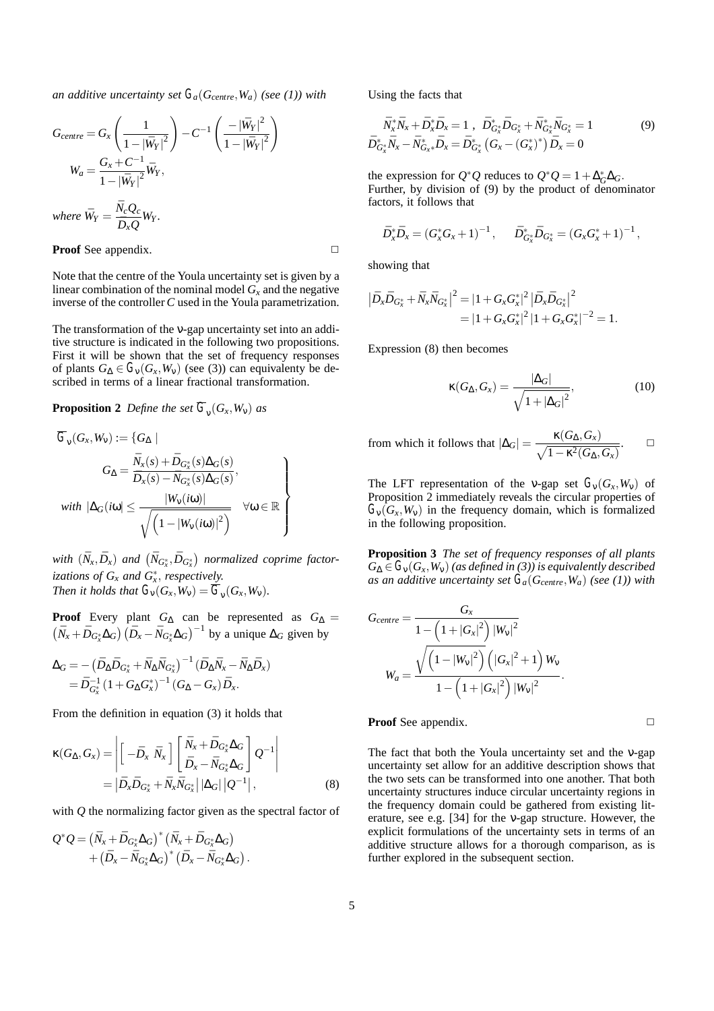*an additive uncertainty set*  $G_a(G_{centre}, W_a)$  *(see (1)) with* 

$$
G_{centre} = G_x \left(\frac{1}{1 - |\bar{W}_Y|^2}\right) - C^{-1} \left(\frac{-|\bar{W}_Y|^2}{1 - |\bar{W}_Y|^2}\right)
$$
  

$$
W_a = \frac{G_x + C^{-1}}{1 - |\bar{W}_Y|^2} \bar{W}_Y,
$$
  
where  $\bar{W}_Y = \frac{\bar{N}_c Q_c}{\bar{D}_x Q} W_Y.$ 

# **Proof** See appendix. **□**

Note that the centre of the Youla uncertainty set is given by a linear combination of the nominal model  $G_x$  and the negative inverse of the controller*C* used in the Youla parametrization.

The transformation of the *v*-gap uncertainty set into an additive structure is indicated in the following two propositions. First it will be shown that the set of frequency responses of plants  $G_{\Delta} \in G_{\nu}(G_x, W_{\nu})$  (see (3)) can equivalenty be described in terms of a linear fractional transformation.

# **Proposition 2** *Define the set*  $\overline{G}_v(G_x, W_v)$  *as*

$$
\overline{G}_{\mathbf{v}}(G_{\mathbf{x}}, W_{\mathbf{v}}) := \{ G_{\Delta} \mid
$$
\n
$$
G_{\Delta} = \frac{\overline{N}_{\mathbf{x}}(s) + \overline{D}_{G_{\mathbf{x}}^*}(s) \Delta_G(s)}{\overline{D}_{\mathbf{x}}(s) - \overline{N}_{G_{\mathbf{x}}^*}(s) \Delta_G(s)},
$$
\n
$$
\text{with } |\Delta_G(i\omega| \le \frac{|W_{\mathbf{v}}(i\omega)|}{\sqrt{\left(1 - |W_{\mathbf{v}}(i\omega)|^2\right)}} \quad \forall \omega \in \mathbb{R}
$$

*with*  $(\bar{N}_x, \bar{D}_x)$  and  $(\bar{N}_{G^*_x}, \bar{D}_{G^*_x})$  normalized coprime factor*izations of Gx and G*<sup>∗</sup> *<sup>x</sup>* , *respectively. Then it holds that*  $G_v(G_x, W_v) = \overline{G}_v(G_x, W_v)$ .

**Proof** Every plant  $G_{\Delta}$  can be represented as  $G_{\Delta}$  =  $(\bar{N}_x + \bar{D}_{G_x^*} \Delta_G) (\bar{D}_x - \bar{N}_{G_x^*} \Delta_G)^{-1}$  by a unique  $\Delta_G$  given by

$$
\Delta_G = -\left(\bar{D}_{\Delta} \bar{D}_{G_{\chi}^*} + \bar{N}_{\Delta} \bar{N}_{G_{\chi}^*}\right)^{-1} \left(\bar{D}_{\Delta} \bar{N}_{\chi} - \bar{N}_{\Delta} \bar{D}_{\chi}\right) \n= \bar{D}_{G_{\chi}^*}^{-1} \left(1 + G_{\Delta} G_{\chi}^*\right)^{-1} \left(G_{\Delta} - G_{\chi}\right) \bar{D}_{\chi}.
$$

From the definition in equation (3) it holds that

$$
\kappa(G_{\Delta}, G_x) = \left| \begin{bmatrix} -\bar{D}_x \ \bar{N}_x \end{bmatrix} \begin{bmatrix} \bar{N}_x + \bar{D}_{G_x^*} \Delta_G \\ \bar{D}_x - \bar{N}_{G_x^*} \Delta_G \end{bmatrix} Q^{-1} \right|
$$
  
=  $|\bar{D}_x \bar{D}_{G_x^*} + \bar{N}_x \bar{N}_{G_x^*} ||\Delta_G|| |Q^{-1}||,$  (8)

with *Q* the normalizing factor given as the spectral factor of

$$
\begin{aligned} \mathcal{Q}^*\mathcal{Q} = \left( \bar{N}_x + \bar{D}_{G_x^*} \Delta_G \right)^* \left( \bar{N}_x + \bar{D}_{G_x^*} \Delta_G \right) \\ & \quad + \left( \bar{D}_x - \bar{N}_{G_x^*} \Delta_G \right)^* \left( \bar{D}_x - \bar{N}_{G_x^*} \Delta_G \right). \end{aligned}
$$

Using the facts that

$$
\bar{N}_{x}^{*}\bar{N}_{x} + \bar{D}_{x}^{*}\bar{D}_{x} = 1, \ \ \bar{D}_{G_{x}^{*}}^{*}\bar{D}_{G_{x}^{*}} + \bar{N}_{G_{x}^{*}}^{*}\bar{N}_{G_{x}^{*}} = 1
$$
\n
$$
\bar{D}_{G_{x}^{*}}^{*}\bar{N}_{x} - \bar{N}_{G_{x}^{*}}^{*}\bar{D}_{x} = \bar{D}_{G_{x}^{*}}^{*}\left(G_{x} - \left(G_{x}^{*}\right)^{*}\right)\bar{D}_{x} = 0
$$
\n
$$
(9)
$$

the expression for  $Q^*Q$  reduces to  $Q^*Q = 1 + \Delta_G^* \Delta_G$ . Further, by division of (9) by the product of denominator factors, it follows that

$$
\bar{D}_x^* \bar{D}_x = (G_x^* G_x + 1)^{-1}, \quad \bar{D}_{G_x^*}^* \bar{D}_{G_x^*} = (G_x G_x^* + 1)^{-1},
$$

showing that

$$
\begin{aligned} \left|\bar{D}_x\bar{D}_{G^*_x}+\bar{N}_x\bar{N}_{G^*_x}\right|^2&=|1+G_xG_x^*|^2\left|\bar{D}_x\bar{D}_{G^*_x}\right|^2\\&=|1+G_xG_x^*|^2\left|1+G_xG_x^*\right|^{-2}=1. \end{aligned}
$$

Expression (8) then becomes

$$
\kappa(G_{\Delta}, G_x) = \frac{|\Delta_G|}{\sqrt{1 + |\Delta_G|^2}},\tag{10}
$$

from which it follows that 
$$
|\Delta_G| = \frac{\kappa(G_\Delta, G_x)}{\sqrt{1 - \kappa^2(G_\Delta, G_x)}}.
$$

The LFT representation of the v-gap set  $G_v(G_x, W_v)$  of Proposition 2 immediately reveals the circular properties of  $G_v(G_x, W_v)$  in the frequency domain, which is formalized in the following proposition.

**Proposition 3** *The set of frequency responses of all plants*  $G_{\Delta} \in G_{\nu}(G_x, W_{\nu})$  (as defined in (3)) is equivalently described *as an additive uncertainty set*  $G_a(G_{centre}, W_a)$  (see (1)) with

$$
G_{centre} = \frac{G_x}{1 - \left(1 + |G_x|^2\right) |W_v|^2}
$$

$$
W_a = \frac{\sqrt{\left(1 - |W_v|^2\right) \left(|G_x|^2 + 1\right) W_v}}{1 - \left(1 + |G_x|^2\right) |W_v|^2}.
$$

**Proof** See appendix. **□** 

The fact that both the Youla uncertainty set and the ν-gap uncertainty set allow for an additive description shows that the two sets can be transformed into one another. That both uncertainty structures induce circular uncertainty regions in the frequency domain could be gathered from existing literature, see e.g. [34] for the ν-gap structure. However, the explicit formulations of the uncertainty sets in terms of an additive structure allows for a thorough comparison, as is further explored in the subsequent section.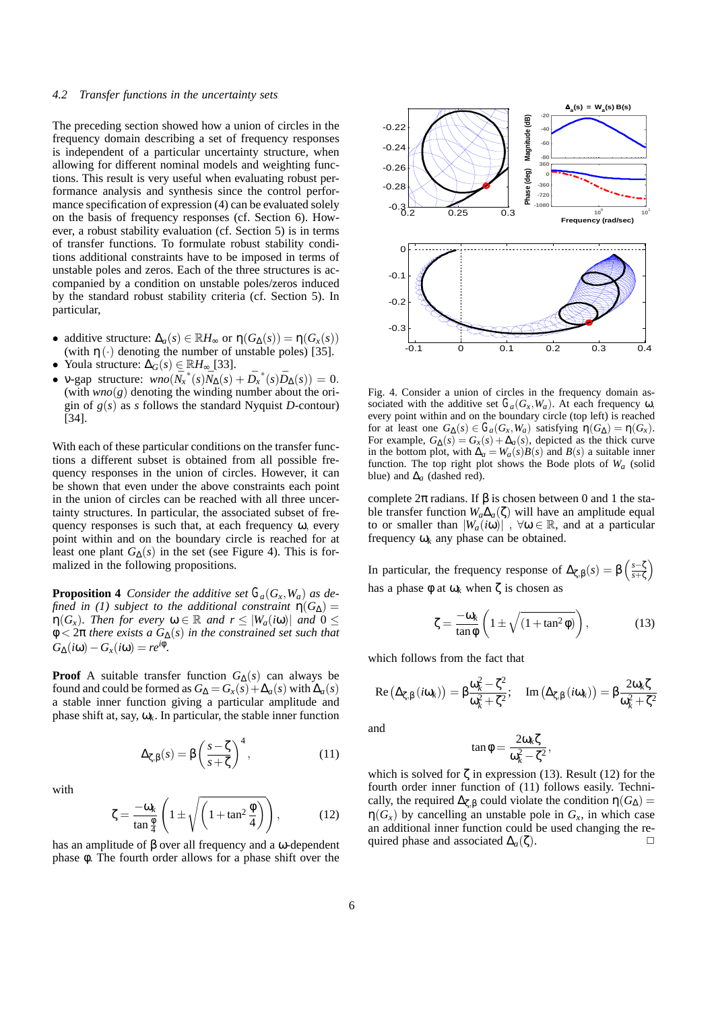#### *4.2 Transfer functions in the uncertainty sets*

The preceding section showed how a union of circles in the frequency domain describing a set of frequency responses is independent of a particular uncertainty structure, when allowing for different nominal models and weighting functions. This result is very useful when evaluating robust performance analysis and synthesis since the control performance specification of expression (4) can be evaluated solely on the basis of frequency responses (cf. Section 6). However, a robust stability evaluation (cf. Section 5) is in terms of transfer functions. To formulate robust stability conditions additional constraints have to be imposed in terms of unstable poles and zeros. Each of the three structures is accompanied by a condition on unstable poles/zeros induced by the standard robust stability criteria (cf. Section 5). In particular,

- additive structure:  $\Delta_a(s) \in \mathbb{R}$ *H*<sub>∞</sub> or  $\eta(G_{\Delta}(s)) = \eta(G_x(s))$ (with  $\eta(\cdot)$  denoting the number of unstable poles) [35].
- Youla structure: ∆*G*(*s*) ∈ R*H*<sup>∞</sup> [33].
- **v**-gap structure:  $\omega n o(\bar{N}_x^*(s) \bar{N}_\Delta(s) + \bar{D}_x^*(s) \bar{D}_\Delta(s)) = 0.$ (with  $wno(g)$  denoting the winding number about the origin of  $g(s)$  as *s* follows the standard Nyquist *D*-contour) [34].

With each of these particular conditions on the transfer functions a different subset is obtained from all possible frequency responses in the union of circles. However, it can be shown that even under the above constraints each point in the union of circles can be reached with all three uncertainty structures. In particular, the associated subset of frequency responses is such that, at each frequency  $\omega$ , every point within and on the boundary circle is reached for at least one plant  $G_{\Lambda}(s)$  in the set (see Figure 4). This is formalized in the following propositions.

**Proposition 4** *Consider the additive set*  $G_a(G_x, W_a)$  *as defined in (1) subject to the additional constraint*  $\eta(G_{\Delta}) =$  $\eta(G_x)$ *. Then for every*  $\omega \in \mathbb{R}$  *and*  $r \leq |W_a(i\omega)|$  *and*  $0 \leq$ φ < 2π *there exists a G*∆(*s*) *in the constrained set such that*  $G_{\Delta}(i\omega) - G_{\chi}(i\omega) = re^{i\phi}$ .

**Proof** A suitable transfer function  $G_{\Delta}(s)$  can always be found and could be formed as  $G_{\Delta} = G_x(s) + \Delta_a(s)$  with  $\Delta_a(s)$ a stable inner function giving a particular amplitude and phase shift at, say,  $\omega_k$ . In particular, the stable inner function

$$
\Delta_{\zeta,\beta}(s) = \beta \left(\frac{s-\zeta}{s+\zeta}\right)^4,\tag{11}
$$

with

$$
\zeta = \frac{-\omega_k}{\tan\frac{\phi}{4}} \left( 1 \pm \sqrt{\left( 1 + \tan^2\frac{\phi}{4} \right)} \right),\tag{12}
$$

has an amplitude of β over all frequency and a ω-dependent phase φ. The fourth order allows for a phase shift over the



Fig. 4. Consider a union of circles in the frequency domain associated with the additive set  $G_a(G_x, W_a)$ . At each frequency  $\omega$ , every point within and on the boundary circle (top left) is reached for at least one  $G_{\Delta}(s) \in G_a(G_x, W_a)$  satisfying  $\eta(G_{\Delta}) = \eta(G_x)$ . For example,  $G_{\Lambda}(s) = G_{\chi}(s) + \Delta_{a}(s)$ , depicted as the thick curve in the bottom plot, with  $\Delta_a = W_a(s)B(s)$  and  $B(s)$  a suitable inner function. The top right plot shows the Bode plots of *Wa* (solid blue) and  $\Delta_a$  (dashed red).

complete  $2π$  radians. If  $β$  is chosen between 0 and 1 the stable transfer function  $W_a \Delta_a(\zeta)$  will have an amplitude equal to or smaller than  $|W_a(i\omega)|$ ,  $\forall \omega \in \mathbb{R}$ , and at a particular frequency  $\omega_k$  any phase can be obtained.

In particular, the frequency response of  $\Delta_{\zeta,\beta}(s) = \beta \left( \frac{s-\zeta}{s+\zeta} \right)$ has a phase  $φ$  at  $ω_k$  when  $ζ$  is chosen as

$$
\zeta = \frac{-\omega_k}{\tan \phi} \left( 1 \pm \sqrt{(1 + \tan^2 \phi)} \right),\tag{13}
$$

which follows from the fact that

$$
Re\left(\Delta_{\zeta,\beta}\left(i\omega_{\textbf{k}}\right)\right)=\beta\frac{\omega_{\textbf{k}}^{2}-\zeta^{2}}{\omega_{\textbf{k}}^{2}+\zeta^{2}};~~Im\left(\Delta_{\zeta,\beta}\left(i\omega_{\textbf{k}}\right)\right)=\beta\frac{2\omega_{\textbf{k}}\zeta}{\omega_{\textbf{k}}^{2}+\zeta^{2}}
$$

and

$$
\tan \phi = \frac{2\omega_k \zeta}{\omega_k^2 - \zeta^2},
$$

which is solved for  $\zeta$  in expression (13). Result (12) for the fourth order inner function of (11) follows easily. Technically, the required  $\Delta_{\mathcal{L},\mathcal{B}}$  could violate the condition  $\eta(G_{\Delta}) =$  $\eta(G_x)$  by cancelling an unstable pole in  $G_x$ , in which case an additional inner function could be used changing the required phase and associated  $\Delta_a(\zeta)$ .  $\Box$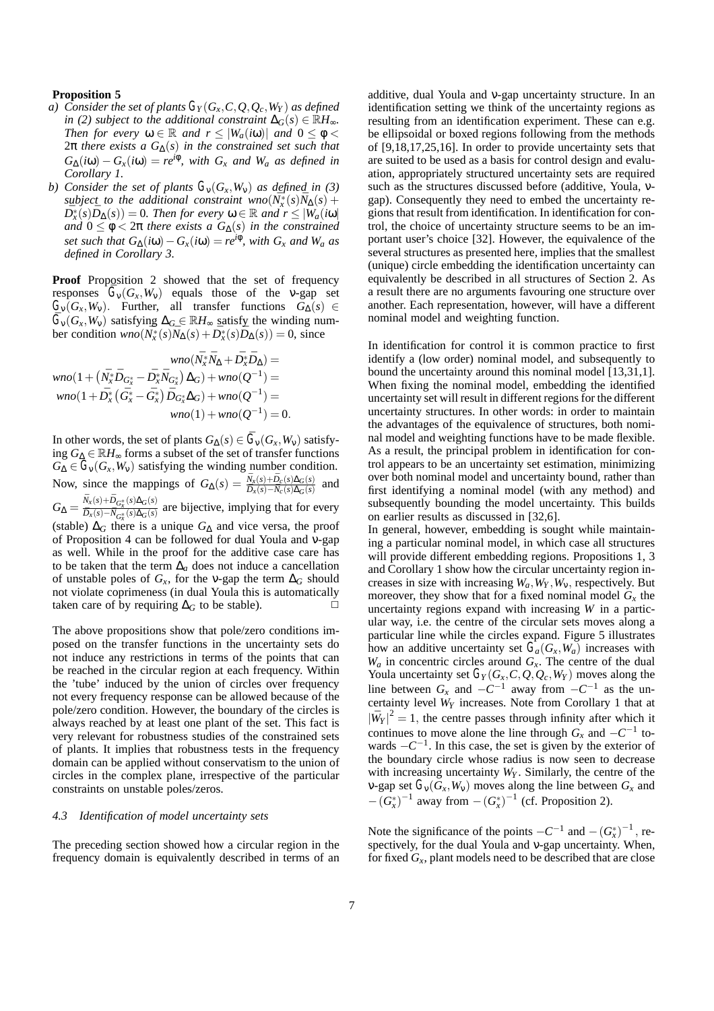# **Proposition 5**

- *a)* Consider the set of plants  $G_Y(G_X, C, Q, Q_c, W_Y)$  as defined *in* (2) subject to the additional constraint  $\Delta$ <sub>*G*</sub>(*s*) ∈  $\mathbb{R}$ *H*<sub>∞</sub>. *Then for every*  $\omega \in \mathbb{R}$  *and*  $r \leq |W_a(i\omega)|$  *and*  $0 \leq \phi$ 2π *there exists a G*∆(*s*) *in the constrained set such that*  $G_{\Delta}(i\omega) - G_{x}(i\omega) = re^{i\phi}$ , with  $G_{x}$  *and*  $W_{a}$  *as defined in Corollary 1.*
- *b)* Consider the set of plants  $G_v(G_x, W_v)$  as defined in (3)  $s$ *ubject to the additional constraint wno* $(N_x^*(s)N_\Delta(s) +$  $\overline{D}_{x}^{*}(s)\overline{D}_{\Delta}(s)$  = 0*. Then for every*  $\omega \in \mathbb{R}$  *and*  $r \leq |\overline{W}_{a}(i\omega)|$ *and*  $0 \le \phi \le 2\pi$  *there exists a*  $G_{\Delta}(s)$  *in the constrained set such that*  $G_{\Delta}(i\omega) - G_x(i\omega) = re^{i\phi}$ *, with*  $G_x$  *and*  $W_a$  *as defined in Corollary 3.*

**Proof** Proposition 2 showed that the set of frequency responses  $G_v(G_x, W_v)$  equals those of the v-gap set  $G_V(G_X, W_V)$ . Further, all transfer functions  $G_{\Delta}(s) \in$  $G_{\rm v}(G_{\rm x}, W_{\rm v})$  satisfying  $\Delta_G \in \mathbb{R}$ *H*<sub>∞</sub> satisfy the winding number condition  $\text{wno}(\overline{N_x^*}(s) \overline{N}_\Delta(s) + \overline{D_x^*}(s) \overline{D}_\Delta(s)) = 0$ , since

$$
wno(\bar{N}_x^* \bar{N}_\Delta + \bar{D}_x^* \bar{D}_\Delta) =
$$
  
\n
$$
wno(1 + (\bar{N}_x^* \bar{D}_{G_x^*} - \bar{D}_x^* \bar{N}_{G_x^*}) \Delta_G) + wno(Q^{-1}) =
$$
  
\n
$$
wno(1 + \bar{D}_x^* (\bar{G}_x^* - \bar{G}_x^*) \bar{D}_{G_x^*} \Delta_G) + wno(Q^{-1}) =
$$
  
\n
$$
wno(1) + wno(Q^{-1}) = 0.
$$

In other words, the set of plants  $G_{\Lambda}(s) \in \overline{G}_{\rm V}(G_{\rm r},W_{\rm V})$  satisfying *G*<sup>∆</sup> ∈ R*H*<sup>∞</sup> forms a subset of the set of transfer functions  $G_{\Delta} \in G_{\nu}(G_x, W_{\nu})$  satisfying the winding number condition. Now, since the mappings of  $G_{\Delta}(s) = \frac{\bar{N}_x(s) + \bar{D}_c(s) \Delta_G(s)}{\bar{D}_x(s) - \bar{N}_c(s) \Delta_G(s)}$  and  $G_{\Delta} = \frac{\bar{N}_x(s) + \bar{D}_{G_x^*}(s) \Delta_G(s)}{\bar{D}_x(s) - \bar{N}_{G^*}(s) \Delta_G(s)}$  $\overline{D_x(s) - N_{G_x^*}(s) \Delta_G(s)}$  are bijective, implying that for every (stable)  $\Delta_G$  there is a unique  $G_{\Delta}$  and vice versa, the proof of Proposition 4 can be followed for dual Youla and ν-gap as well. While in the proof for the additive case care has to be taken that the term  $\Delta_a$  does not induce a cancellation of unstable poles of  $G_x$ , for the v-gap the term  $\Delta_G$  should not violate coprimeness (in dual Youla this is automatically taken care of by requiring  $\Delta$ <sup>*G*</sup> to be stable).  $\Box$ 

The above propositions show that pole/zero conditions imposed on the transfer functions in the uncertainty sets do not induce any restrictions in terms of the points that can be reached in the circular region at each frequency. Within the 'tube' induced by the union of circles over frequency not every frequency response can be allowed because of the pole/zero condition. However, the boundary of the circles is always reached by at least one plant of the set. This fact is very relevant for robustness studies of the constrained sets of plants. It implies that robustness tests in the frequency domain can be applied without conservatism to the union of circles in the complex plane, irrespective of the particular constraints on unstable poles/zeros.

# *4.3 Identification of model uncertainty sets*

The preceding section showed how a circular region in the frequency domain is equivalently described in terms of an additive, dual Youla and ν-gap uncertainty structure. In an identification setting we think of the uncertainty regions as resulting from an identification experiment. These can e.g. be ellipsoidal or boxed regions following from the methods of [9,18,17,25,16]. In order to provide uncertainty sets that are suited to be used as a basis for control design and evaluation, appropriately structured uncertainty sets are required such as the structures discussed before (additive, Youla, νgap). Consequently they need to embed the uncertainty regions that result from identification. In identification for control, the choice of uncertainty structure seems to be an important user's choice [32]. However, the equivalence of the several structures as presented here, implies that the smallest (unique) circle embedding the identification uncertainty can equivalently be described in all structures of Section 2. As a result there are no arguments favouring one structure over another. Each representation, however, will have a different nominal model and weighting function.

In identification for control it is common practice to first identify a (low order) nominal model, and subsequently to bound the uncertainty around this nominal model [13,31,1]. When fixing the nominal model, embedding the identified uncertainty set will result in different regions for the different uncertainty structures. In other words: in order to maintain the advantages of the equivalence of structures, both nominal model and weighting functions have to be made flexible. As a result, the principal problem in identification for control appears to be an uncertainty set estimation, minimizing over both nominal model and uncertainty bound, rather than first identifying a nominal model (with any method) and subsequently bounding the model uncertainty. This builds on earlier results as discussed in [32,6].

In general, however, embedding is sought while maintaining a particular nominal model, in which case all structures will provide different embedding regions. Propositions 1, 3 and Corollary 1 show how the circular uncertainty region increases in size with increasing  $W_a$ ,  $W_Y$ ,  $W_y$ , respectively. But moreover, they show that for a fixed nominal model  $G_x$  the uncertainty regions expand with increasing *W* in a particular way, i.e. the centre of the circular sets moves along a particular line while the circles expand. Figure 5 illustrates how an additive uncertainty set  $G_a(G_x, W_a)$  increases with *Wa* in concentric circles around *Gx*. The centre of the dual Youla uncertainty set  $G_Y(G_X, C, Q, Q_c, W_Y)$  moves along the line between  $G_x$  and  $-C^{-1}$  away from  $-C^{-1}$  as the uncertainty level  $\hat{W}_Y$  increases. Note from Corollary 1 that at  $|\bar{W}_Y|^2 = 1$ , the centre passes through infinity after which it continues to move alone the line through  $G_x$  and  $-C^{-1}$  towards  $-C^{-1}$ . In this case, the set is given by the exterior of the boundary circle whose radius is now seen to decrease with increasing uncertainty  $W_Y$ . Similarly, the centre of the v-gap set  $G_v(G_x, W_v)$  moves along the line between  $G_x$  and  $-(G_x^*)^{-1}$  away from  $-(G_x^*)^{-1}$  (cf. Proposition 2).

Note the significance of the points  $-C^{-1}$  and  $-(G_x^*)^{-1}$ , respectively, for the dual Youla and ν-gap uncertainty. When, for fixed  $G_x$ , plant models need to be described that are close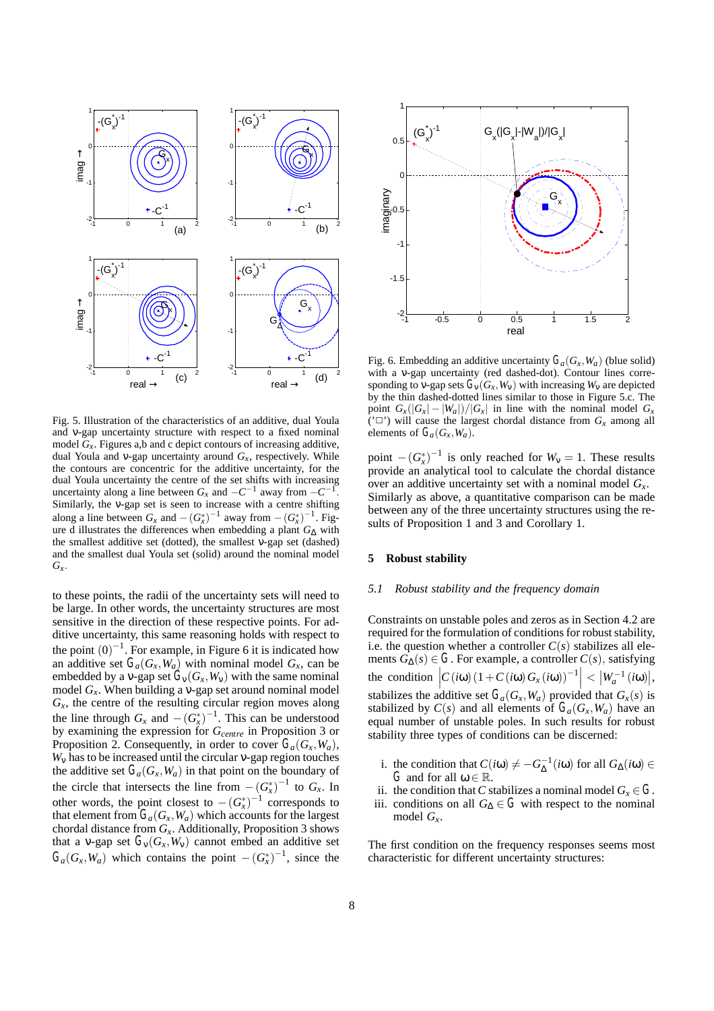

Fig. 5. Illustration of the characteristics of an additive, dual Youla and ν-gap uncertainty structure with respect to a fixed nominal model  $G<sub>x</sub>$ . Figures a,b and c depict contours of increasing additive, dual Youla and *v*-gap uncertainty around  $G_x$ , respectively. While the contours are concentric for the additive uncertainty, for the dual Youla uncertainty the centre of the set shifts with increasing uncertainty along a line between  $G_x$  and  $-C^{-1}$  away from  $-C^{-1}$ . Similarly, the ν-gap set is seen to increase with a centre shifting along a line between  $G_x$  and  $-(G_x^*)^{-1}$  away from  $-(G_x^*)^{-1}$ . Figure d illustrates the differences when embedding a plant *G*<sup>∆</sup> with the smallest additive set (dotted), the smallest ν-gap set (dashed) and the smallest dual Youla set (solid) around the nominal model *Gx*.

to these points, the radii of the uncertainty sets will need to be large. In other words, the uncertainty structures are most sensitive in the direction of these respective points. For additive uncertainty, this same reasoning holds with respect to the point  $(0)^{-1}$ . For example, in Figure 6 it is indicated how an additive set  $G_a(G_x, W_a)$  with nominal model  $G_x$ , can be embedded by a v-gap set  $G_v(G_x, W_v)$  with the same nominal model  $G_x$ . When building a v-gap set around nominal model  $G_x$ , the centre of the resulting circular region moves along the line through  $G_x$  and  $-(G_x^*)^{-1}$ . This can be understood by examining the expression for *Gcentre* in Proposition 3 or Proposition 2. Consequently, in order to cover  $G_a(G_\tau, W_a)$ , *W*<sup>ν</sup> has to be increased until the circular ν-gap region touches the additive set  $G_a(G_x, W_a)$  in that point on the boundary of the circle that intersects the line from  $-(G_x^*)^{-1}$  to  $G_x$ . In other words, the point closest to  $-(G_x^*)^{-1}$  corresponds to that element from  $G_a(G_x, W_a)$  which accounts for the largest chordal distance from *Gx*. Additionally, Proposition 3 shows that a v-gap set  $G_v(G_x, W_v)$  cannot embed an additive set  $G_a(G_x, W_a)$  which contains the point  $-(G_x^*)^{-1}$ , since the



Fig. 6. Embedding an additive uncertainty  $G_a(G_x, W_a)$  (blue solid) with a v-gap uncertainty (red dashed-dot). Contour lines corresponding to  $\nabla$ -gap sets  $\vec{G}_{\text{V}}(G_x, W_y)$  with increasing  $W_y$  are depicted by the thin dashed-dotted lines similar to those in Figure 5.c. The point  $G_x(|G_x| - |W_a|)/|G_x|$  in line with the nominal model  $G_x$ ( $' \square'$ ) will cause the largest chordal distance from  $G_x$  among all elements of  $G_a(G_x, W_a)$ .

point  $-(G_x^*)^{-1}$  is only reached for  $W_v = 1$ . These results provide an analytical tool to calculate the chordal distance over an additive uncertainty set with a nominal model *Gx*. Similarly as above, a quantitative comparison can be made between any of the three uncertainty structures using the results of Proposition 1 and 3 and Corollary 1.

### **5 Robust stability**

### *5.1 Robust stability and the frequency domain*

Constraints on unstable poles and zeros as in Section 4.2 are required for the formulation of conditions for robust stability, i.e. the question whether a controller  $C(s)$  stabilizes all elements  $G_{\Delta}(s) \in G$ . For example, a controller  $C(s)$ , satisfying the condition  $\left| C(i\omega) (1 + C(i\omega) G_x(i\omega))^{-1} \right| < |W_a^{-1}(i\omega)|,$ stabilizes the additive set  $G_a(G_x, W_a)$  provided that  $G_x(s)$  is stabilized by  $C(s)$  and all elements of  $G_a(G_x, W_a)$  have an equal number of unstable poles. In such results for robust stability three types of conditions can be discerned:

- i. the condition that  $C(i\omega) \neq -G_{\Delta}^{-1}(i\omega)$  for all  $G_{\Delta}(i\omega) \in$ *G* and for all  $\omega \in \mathbb{R}$ .
- ii. the condition that *C* stabilizes a nominal model  $G_x \in G$ .
- iii. conditions on all  $G$ ∆ ∈ *G* with respect to the nominal model *Gx*.

The first condition on the frequency responses seems most characteristic for different uncertainty structures: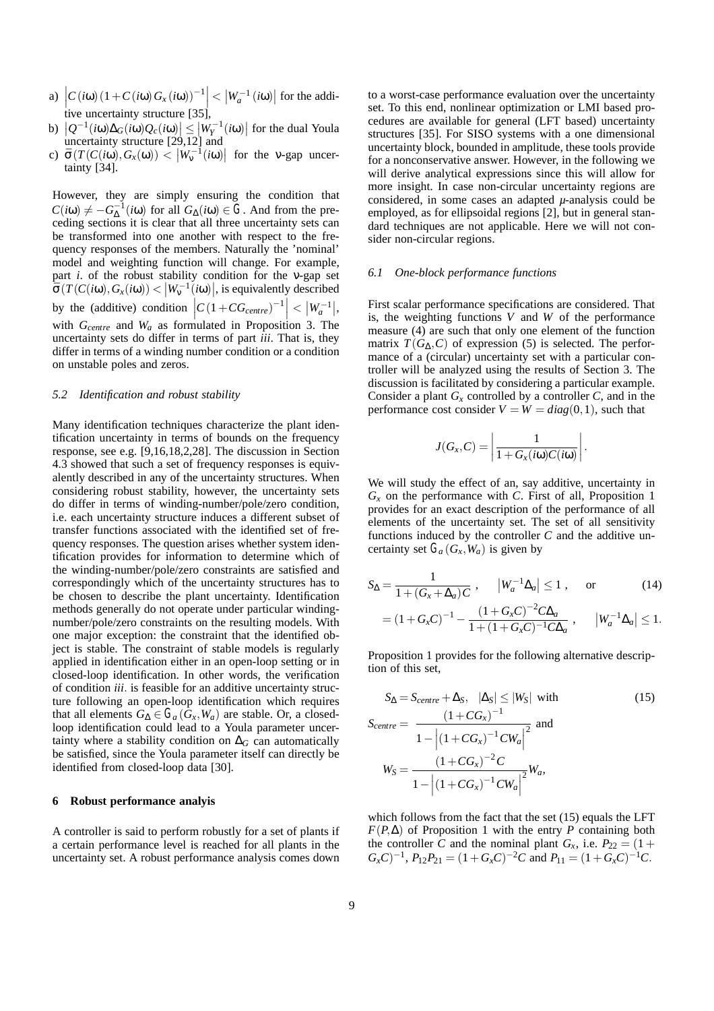- a)  $\left| C(\mathbf{i}\omega) (1+C(\mathbf{i}\omega)G_x(\mathbf{i}\omega))^{-1} \right| < |W_a^{-1}(\mathbf{i}\omega)|$  for the additive uncertainty structure [35],
- b)  $|Q^{-1}(i\omega)\Delta_G(i\omega)Q_c(i\omega)| \le |W_T^{-1}(i\omega)|$  for the dual Youla uncertainty structure [29,12] and
- c)  $\bar{\sigma}(T(C(i\omega), G_x(\omega)) < |W_v^{-1}(i\omega)|$  for the v-gap uncertainty [34].

However, they are simply ensuring the condition that  $C(i\omega) \neq -G_{\Delta}^{-1}(i\omega)$  for all  $G_{\Delta}(i\omega) \in G$ . And from the preceding sections it is clear that all three uncertainty sets can be transformed into one another with respect to the frequency responses of the members. Naturally the 'nominal' model and weighting function will change. For example, part *i*. of the robust stability condition for the ν-gap set  $\bar{\sigma}(T(C(i\omega), G_x(i\omega)) < |W_v^{-1}(i\omega)|,$  is equivalently described by the (additive) condition  $\left| C(1+CG_{centre})^{-1} \right| < |W_a^{-1}|,$ with  $G_{centre}$  and  $W_a$  as formulated in Proposition 3. The uncertainty sets do differ in terms of part *iii*. That is, they differ in terms of a winding number condition or a condition on unstable poles and zeros.

#### *5.2 Identification and robust stability*

Many identification techniques characterize the plant identification uncertainty in terms of bounds on the frequency response, see e.g. [9,16,18,2,28]. The discussion in Section 4.3 showed that such a set of frequency responses is equivalently described in any of the uncertainty structures. When considering robust stability, however, the uncertainty sets do differ in terms of winding-number/pole/zero condition, i.e. each uncertainty structure induces a different subset of transfer functions associated with the identified set of frequency responses. The question arises whether system identification provides for information to determine which of the winding-number/pole/zero constraints are satisfied and correspondingly which of the uncertainty structures has to be chosen to describe the plant uncertainty. Identification methods generally do not operate under particular windingnumber/pole/zero constraints on the resulting models. With one major exception: the constraint that the identified object is stable. The constraint of stable models is regularly applied in identification either in an open-loop setting or in closed-loop identification. In other words, the verification of condition *iii*. is feasible for an additive uncertainty structure following an open-loop identification which requires that all elements  $G_{\Delta} \in G_a(\tilde{G}_x, W_a)$  are stable. Or, a closedloop identification could lead to a Youla parameter uncertainty where a stability condition on  $\Delta$ <sup>*G*</sup> can automatically be satisfied, since the Youla parameter itself can directly be identified from closed-loop data [30].

#### **6 Robust performance analyis**

A controller is said to perform robustly for a set of plants if a certain performance level is reached for all plants in the uncertainty set. A robust performance analysis comes down

to a worst-case performance evaluation over the uncertainty set. To this end, nonlinear optimization or LMI based procedures are available for general (LFT based) uncertainty structures [35]. For SISO systems with a one dimensional uncertainty block, bounded in amplitude, these tools provide for a nonconservative answer. However, in the following we will derive analytical expressions since this will allow for more insight. In case non-circular uncertainty regions are considered, in some cases an adapted *µ*-analysis could be employed, as for ellipsoidal regions [2], but in general standard techniques are not applicable. Here we will not consider non-circular regions.

#### *6.1 One-block performance functions*

First scalar performance specifications are considered. That is, the weighting functions *V* and *W* of the performance measure (4) are such that only one element of the function matrix  $T(G_{\Delta}, C)$  of expression (5) is selected. The performance of a (circular) uncertainty set with a particular controller will be analyzed using the results of Section 3. The discussion is facilitated by considering a particular example. Consider a plant  $G_x$  controlled by a controller *C*, and in the performance cost consider  $V = W = diag(0, 1)$ , such that

$$
J(G_x, C) = \left| \frac{1}{1 + G_x(i\omega)C(i\omega)} \right|
$$

.

We will study the effect of an, say additive, uncertainty in *Gx* on the performance with *C*. First of all, Proposition 1 provides for an exact description of the performance of all elements of the uncertainty set. The set of all sensitivity functions induced by the controller *C* and the additive uncertainty set  $G_a(G_x, W_a)$  is given by

$$
S_{\Delta} = \frac{1}{1 + (G_x + \Delta_a)C}, \qquad |W_a^{-1}\Delta_a| \le 1, \qquad \text{or} \qquad (14)
$$

$$
= (1 + G_xC)^{-1} - \frac{(1 + G_xC)^{-2}C\Delta_a}{1 + (1 + G_xC)^{-1}C\Delta_a}, \qquad |W_a^{-1}\Delta_a| \le 1.
$$

Proposition 1 provides for the following alternative description of this set,

$$
S_{\Delta} = S_{centre} + \Delta_{S}, \quad |\Delta_{S}| \le |W_{S}| \text{ with}
$$
\n
$$
S_{centre} = \frac{(1 + CG_{x})^{-1}}{1 - |(1 + CG_{x})^{-1}CW_{a}|^{2}} \text{ and}
$$
\n
$$
W_{S} = \frac{(1 + CG_{x})^{-2}C}{1 - |(1 + CG_{x})^{-1}CW_{a}|^{2}} W_{a},
$$
\n(15)

which follows from the fact that the set (15) equals the LFT  $F(P, \Delta)$  of Proposition 1 with the entry *P* containing both the controller *C* and the nominal plant  $G_x$ , i.e.  $P_{22} = (1 +$  $G_xC$ <sup>-1</sup>,  $P_{12}P_{21} = (1+G_xC)^{-2}C$  and  $P_{11} = (1+G_xC)^{-1}C$ .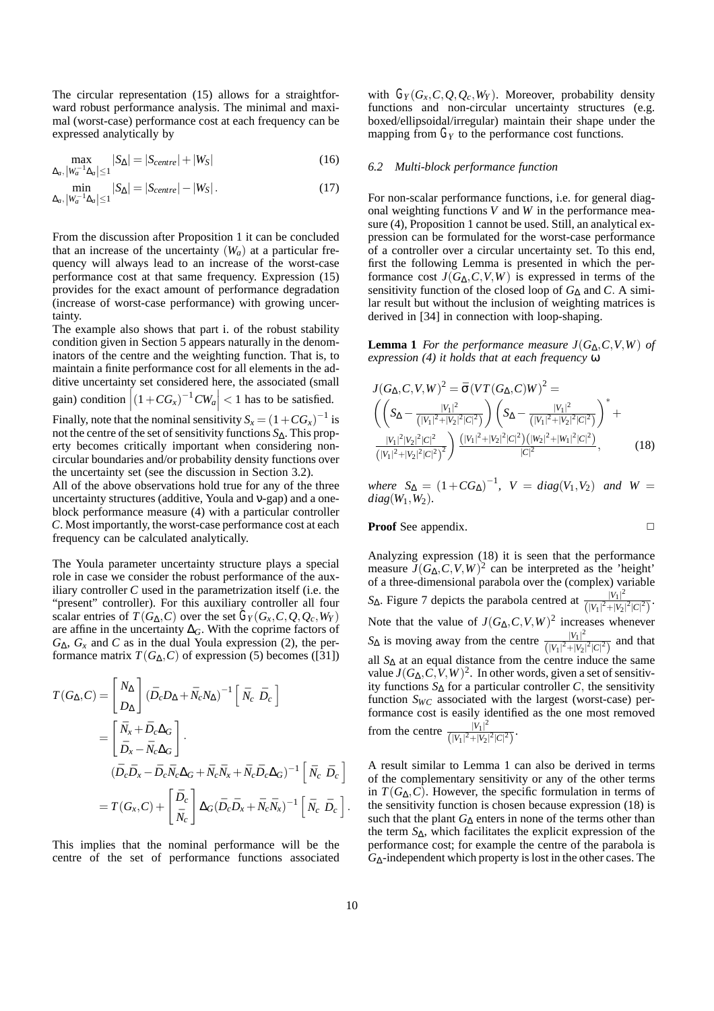The circular representation (15) allows for a straightforward robust performance analysis. The minimal and maximal (worst-case) performance cost at each frequency can be expressed analytically by

$$
\max_{\Delta_a, |W_a^{-1}\Delta_a| \le 1} |S_\Delta| = |S_{centre}| + |W_S| \tag{16}
$$

$$
\min_{\Delta_a, \, |W_a^{-1}\Delta_a| \le 1} |S_\Delta| = |S_{centre}| - |W_S| \,. \tag{17}
$$

From the discussion after Proposition 1 it can be concluded that an increase of the uncertainty  $(W_a)$  at a particular frequency will always lead to an increase of the worst-case performance cost at that same frequency. Expression (15) provides for the exact amount of performance degradation (increase of worst-case performance) with growing uncertainty.

The example also shows that part i. of the robust stability condition given in Section 5 appears naturally in the denominators of the centre and the weighting function. That is, to maintain a finite performance cost for all elements in the additive uncertainty set considered here, the associated (small gain) condition  $|(1+CG_x)^{-1}CW_a| < 1$  has to be satisfied.

 $\begin{bmatrix} \ddots & \ddots & \ddots & \ddots \end{bmatrix}$ Finally, note that the nominal sensitivity  $S_x = (1 + CG_x)^{-1}$  is not the centre of the set of sensitivity functions *S*∆. This property becomes critically important when considering noncircular boundaries and/or probability density functions over the uncertainty set (see the discussion in Section 3.2).

All of the above observations hold true for any of the three uncertainty structures (additive, Youla and ν-gap) and a oneblock performance measure (4) with a particular controller *C*. Most importantly, the worst-case performance cost at each frequency can be calculated analytically.

The Youla parameter uncertainty structure plays a special role in case we consider the robust performance of the auxiliary controller *C* used in the parametrization itself (i.e. the "present" controller). For this auxiliary controller all four scalar entries of *T*( $G_{\Delta}, C$ ) over the set  $G_Y(G_X, C, Q, Q_c, W_Y)$ are affine in the uncertainty ∆*G*. With the coprime factors of  $G_{\Lambda}$ ,  $G_x$  and *C* as in the dual Youla expression (2), the performance matrix  $T(G_{\Lambda}, C)$  of expression (5) becomes ([31])

$$
T(G_{\Delta}, C) = \begin{bmatrix} N_{\Delta} \\ D_{\Delta} \end{bmatrix} (\bar{D}_c D_{\Delta} + \bar{N}_c N_{\Delta})^{-1} \begin{bmatrix} \bar{N}_c & \bar{D}_c \end{bmatrix}
$$
  
\n
$$
= \begin{bmatrix} \bar{N}_x + \bar{D}_c \Delta_G \\ \bar{D}_x - \bar{N}_c \Delta_G \end{bmatrix}.
$$
  
\n
$$
(\bar{D}_c \bar{D}_x - \bar{D}_c \bar{N}_c \Delta_G + \bar{N}_c \bar{N}_x + \bar{N}_c \bar{D}_c \Delta_G)^{-1} \begin{bmatrix} \bar{N}_c & \bar{D}_c \end{bmatrix}
$$
  
\n
$$
= T(G_x, C) + \begin{bmatrix} \bar{D}_c \\ \bar{N}_c \end{bmatrix} \Delta_G (\bar{D}_c \bar{D}_x + \bar{N}_c \bar{N}_x)^{-1} \begin{bmatrix} \bar{N}_c & \bar{D}_c \end{bmatrix}.
$$

This implies that the nominal performance will be the centre of the set of performance functions associated

with  $G_Y(G_X, C, Q, Q_c, W_Y)$ . Moreover, probability density functions and non-circular uncertainty structures (e.g. boxed/ellipsoidal/irregular) maintain their shape under the mapping from  $G_Y$  to the performance cost functions.

#### *6.2 Multi-block performance function*

For non-scalar performance functions, i.e. for general diagonal weighting functions *V* and *W* in the performance measure (4), Proposition 1 cannot be used. Still, an analytical expression can be formulated for the worst-case performance of a controller over a circular uncertainty set. To this end, first the following Lemma is presented in which the performance cost  $J(G_\Delta, C, V, W)$  is expressed in terms of the sensitivity function of the closed loop of *G*<sup>∆</sup> and *C*. A similar result but without the inclusion of weighting matrices is derived in [34] in connection with loop-shaping.

**Lemma 1** *For the performance measure*  $J(G_\Delta, C, V, W)$  *of expression (4) it holds that at each frequency* ω

$$
J(G_{\Delta}, C, V, W)^{2} = \bar{\sigma} (V T (G_{\Delta}, C) W)^{2} =
$$
  
\n
$$
\left( \left( S_{\Delta} - \frac{|V_{1}|^{2}}{(|V_{1}|^{2} + |V_{2}|^{2}|C|^{2})} \right) \left( S_{\Delta} - \frac{|V_{1}|^{2}}{(|V_{1}|^{2} + |V_{2}|^{2}|C|^{2})} \right)^{+} + \frac{|V_{1}|^{2}|V_{2}|^{2}|C|^{2}}{(|V_{1}|^{2} + |V_{2}|^{2}|C|^{2})} \right) \frac{(|V_{1}|^{2} + |V_{2}|^{2}|C|^{2}) (|W_{2}|^{2} + |W_{1}|^{2}|C|^{2})}{|C|^{2}},
$$
\n(18)

 $W$   $S_{\Delta} = (1 + CG_{\Delta})^{-1}$ ,  $V = diag(V_1, V_2)$  *and*  $W =$ *diag*(*W*1,*W*2)*.*

**Proof** See appendix.

$$
\Box
$$

Analyzing expression (18) it is seen that the performance measure  $J(G_\Lambda, C, V, W)^2$  can be interpreted as the 'height' of a three-dimensional parabola over the (complex) variable  $S_{\Delta}$ . Figure 7 depicts the parabola centred at  $\frac{|V_1|^2}{(|V_2|^2 + |V_1|^2)}$  $\frac{|V_1|}{(|V_1|^2+|V_2|^2|C|^2)}$ . Note that the value of  $J(G_{\Delta}, C, V, W)^2$  increases whenever  $S_{\Delta}$  is moving away from the centre  $\frac{|V_1|^2}{(|V_2|^2+|V_1|^2)}$  $\frac{|v_1|}{(|v_1|^2+|v_2|^2|C|^2)}$  and that all *S*<sup>∆</sup> at an equal distance from the centre induce the same value  $J(G_\Delta, C, V, W)^2$ . In other words, given a set of sensitivity functions  $S_\Delta$  for a particular controller *C*, the sensitivity function  $S_{WC}$  associated with the largest (worst-case) performance cost is easily identified as the one most removed from the centre  $\frac{|V_1|^2}{\sqrt{|V_1|^2 + |V_2|}}$  $\frac{|V_1|}{(|V_1|^2+|V_2|^2|C|^2)}$ 

A result similar to Lemma 1 can also be derived in terms of the complementary sensitivity or any of the other terms in  $T(G_{\Lambda}, C)$ . However, the specific formulation in terms of the sensitivity function is chosen because expression (18) is such that the plant  $G_\Delta$  enters in none of the terms other than the term *S*∆, which facilitates the explicit expression of the performance cost; for example the centre of the parabola is *G*∆-independent which property is lost in the other cases. The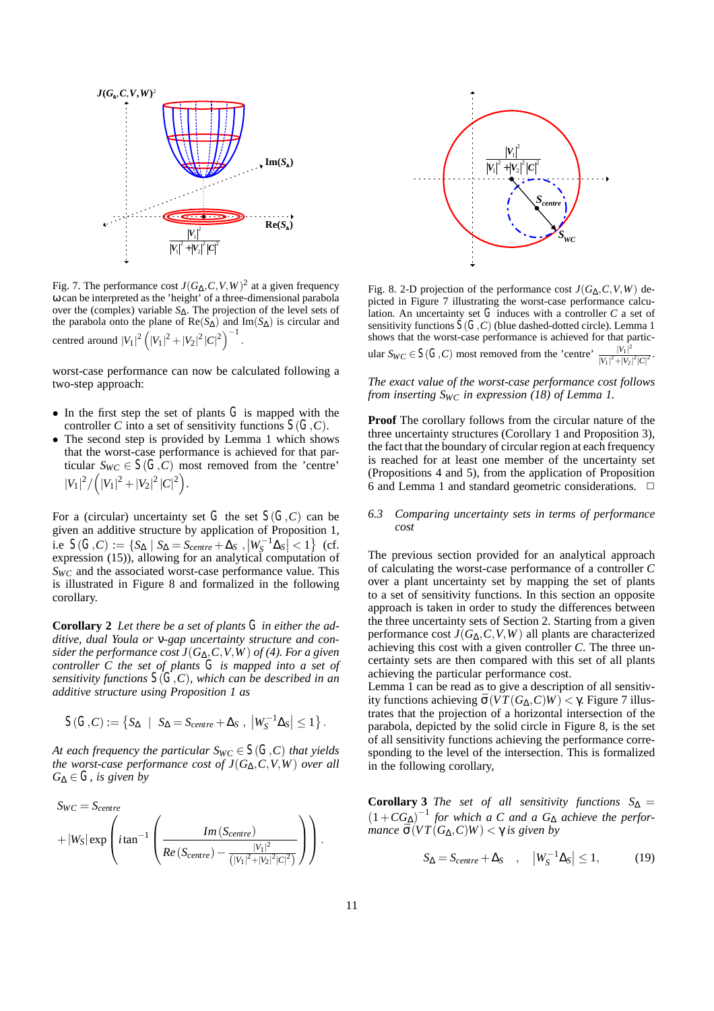

Fig. 7. The performance cost  $J(G_\Delta, C, V, W)^2$  at a given frequency ω can be interpreted as the 'height' of a three-dimensional parabola over the (complex) variable *S*∆. The projection of the level sets of the parabola onto the plane of Re(*S*∆) and Im(*S*∆) is circular and centred around  $|V_1|^2 (|V_1|^2 + |V_2|^2 |C|^2)^{-1}$ .

worst-case performance can now be calculated following a two-step approach:

- In the first step the set of plants  $G$  is mapped with the controller *C* into a set of sensitivity functions  $S(G, C)$ .
- The second step is provided by Lemma 1 which shows that the worst-case performance is achieved for that particular  $S_{WC} \in S(G, C)$  most removed from the 'centre'  $|V_1|^2 / ( |V_1|^2 + |V_2|^2 |C|^2 ).$

For a (circular) uncertainty set *G* the set  $S(G, C)$  can be given an additive structure by application of Proposition 1, i.e  $S(G, C) := \{ S_\Delta \mid S_\Delta = S_{centre} + \Delta_S , \left| W_\delta^{-1} \Delta_S \right| < 1 \}$  (cf. expression (15)), allowing for an analytical computation of *Swc* and the associated worst-case performance value. This is illustrated in Figure 8 and formalized in the following corollary.

**Corollary 2** *Let there be a set of plants G in either the additive, dual Youla or* ν*-gap uncertainty structure and consider the performance cost J*(*G*∆,*C*,*V*,*W*) *of (4). For a given controller C the set of plants G is mapped into a set of sensitivity functions S*(*G*,*C*)*, which can be described in an additive structure using Proposition 1 as*

$$
S(G,C) := \left\{ S_{\Delta} \mid S_{\Delta} = S_{centre} + \Delta_S , \, \left| W_S^{-1} \Delta_S \right| \leq 1 \right\}.
$$

*At each frequency the particular*  $S_{WC} \in S(G, C)$  *that yields the worst-case performance cost of*  $J(G_\Delta, C, V, W)$  *over all*  $G_{\Delta} \in G$ *, is given by* 

$$
S_{WC} = S_{centre}
$$
  
+  $|W_S| \exp \left( i \tan^{-1} \left( \frac{Im(S_{centre})}{Re(S_{centre}) - \frac{|V_1|^2}{(|V_1|^2 + |V_2|^2 |C|^2)}} \right) \right).$ 



Fig. 8. 2-D projection of the performance cost  $J(G_\Lambda, C, V, W)$  depicted in Figure 7 illustrating the worst-case performance calculation. An uncertainty set  $G$  induces with a controller  $C$  a set of sensitivity functions  $S(G, C)$  (blue dashed-dotted circle). Lemma 1 shows that the worst-case performance is achieved for that particular  $S_{WC} \in S(G, C)$  most removed from the 'centre'  $\frac{|V_1|^2}{|V_1|^2 + |V_2|}$  $\frac{|V_1|}{|V_1|^2+|V_2|^2|C|^2}$ .

*The exact value of the worst-case performance cost follows from inserting SWC in expression (18) of Lemma 1.*

**Proof** The corollary follows from the circular nature of the three uncertainty structures (Corollary 1 and Proposition 3), the fact that the boundary of circular region at each frequency is reached for at least one member of the uncertainty set (Propositions 4 and 5), from the application of Proposition 6 and Lemma 1 and standard geometric considerations.  $\Box$ 

### *6.3 Comparing uncertainty sets in terms of performance cost*

The previous section provided for an analytical approach of calculating the worst-case performance of a controller *C* over a plant uncertainty set by mapping the set of plants to a set of sensitivity functions. In this section an opposite approach is taken in order to study the differences between the three uncertainty sets of Section 2. Starting from a given performance cost  $J(G_\Delta, C, V, W)$  all plants are characterized achieving this cost with a given controller *C*. The three uncertainty sets are then compared with this set of all plants achieving the particular performance cost.

Lemma 1 can be read as to give a description of all sensitivity functions achieving  $\bar{\sigma}(VT(G_{\Delta}, C)W) < \gamma$ . Figure 7 illustrates that the projection of a horizontal intersection of the parabola, depicted by the solid circle in Figure 8, is the set of all sensitivity functions achieving the performance corresponding to the level of the intersection. This is formalized in the following corollary,

**Corollary 3** *The set of all sensitivity functions*  $S_{\Delta}$  =  $(1+CG<sub>∆</sub>)<sup>-1</sup>$  *for which a C and a G*<sub>∆</sub> *achieve the performance*  $\bar{\sigma}(VT(G_\Delta, C)W) < \gamma$  *is given by* 

$$
S_{\Delta} = S_{centre} + \Delta_S \quad , \quad |W_S^{-1} \Delta_S| \le 1, \tag{19}
$$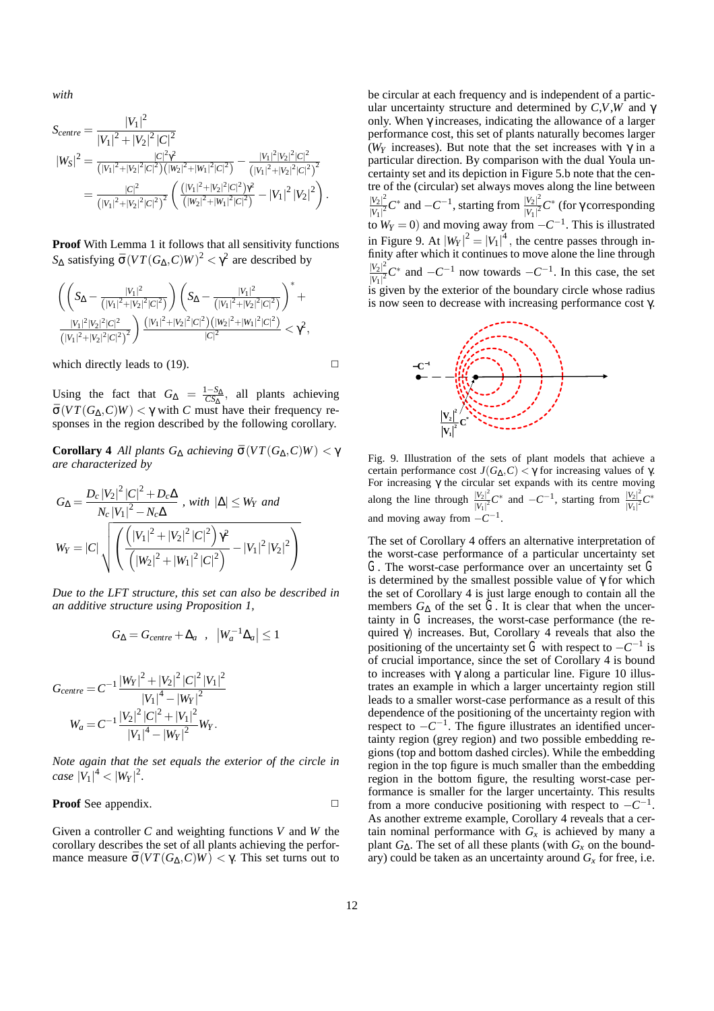*with*

$$
S_{centre} = \frac{|V_1|^2}{|V_1|^2 + |V_2|^2 |C|^2}
$$
  
\n
$$
|W_S|^2 = \frac{|C|^2 \gamma^2}{(|V_1|^2 + |V_2|^2 |C|^2) (|W_2|^2 + |W_1|^2 |C|^2)} - \frac{|V_1|^2 |V_2|^2 |C|^2}{(|V_1|^2 + |V_2|^2 |C|^2)^2}
$$
  
\n
$$
= \frac{|C|^2}{(|V_1|^2 + |V_2|^2 |C|^2)^2} \left( \frac{(|V_1|^2 + |V_2|^2 |C|^2) \gamma^2}{(|W_2|^2 + |W_1|^2 |C|^2)} - |V_1|^2 |V_2|^2 \right).
$$

**Proof** With Lemma 1 it follows that all sensitivity functions *S*<sub>Δ</sub> satisfying  $\bar{\sigma}$  (*VT*(*G*<sub>Δ</sub>, *C*)*W*)<sup>2</sup> <  $\gamma$ <sup>2</sup> are described by

$$
\frac{\left(\left(S_{\Delta}-\frac{|V_1|^2}{(|V_1|^2+|V_2|^2|C|^2)}\right)\left(S_{\Delta}-\frac{|V_1|^2}{(|V_1|^2+|V_2|^2|C|^2)}\right)^++\frac{|V_1|^2|V_2|^2|C|^2}{(|V_1|^2+|V_2|^2|C|^2)}\right)^{-1}\frac{(|V_1|^2+|V_2|^2|C|^2)\left(|W_2|^2+|W_1|^2|C|^2\right)}{|C|^2}<\gamma^2,
$$

which directly leads to (19).

$$
\Box
$$

Using the fact that  $G_{\Delta} = \frac{1 - S_{\Delta}}{CS_{\Delta}}$ , all plants achieving  $\bar{\sigma}(VT(G_{\Delta}, C)W) < \gamma$  with *C* must have their frequency responses in the region described by the following corollary.

**Corollary 4** *All plants*  $G_Δ$  *achieving*  $\bar{\sigma}(VT(G_Δ, C)W) < γ$ *are characterized by*

$$
G_{\Delta} = \frac{D_c |V_2|^2 |C|^2 + D_c \Delta}{N_c |V_1|^2 - N_c \Delta}, \text{ with } |\Delta| \le W_Y \text{ and}
$$
  

$$
W_Y = |C| \sqrt{\left( \frac{(|V_1|^2 + |V_2|^2 |C|^2)}{(|W_2|^2 + |W_1|^2 |C|^2)} - |V_1|^2 |V_2|^2 \right)}
$$

*Due to the LFT structure, this set can also be described in an additive structure using Proposition 1,*

$$
G_{\Delta} = G_{centre} + \Delta_a , |W_a^{-1} \Delta_a| \leq 1
$$

$$
G_{centre} = C^{-1} \frac{|W_Y|^2 + |V_2|^2 |C|^2 |V_1|^2}{|V_1|^4 - |W_Y|^2}
$$
  

$$
W_a = C^{-1} \frac{|V_2|^2 |C|^2 + |V_1|^2}{|V_1|^4 - |W_Y|^2} W_Y.
$$

*Note again that the set equals the exterior of the circle in*  $case |V_1|^4 < |W_Y|^2$ .

# **Proof** See appendix. **□**

Given a controller *C* and weighting functions *V* and *W* the corollary describes the set of all plants achieving the performance measure  $\bar{\sigma}(VT(G_{\Delta}, C)W) < \gamma$ . This set turns out to be circular at each frequency and is independent of a particular uncertainty structure and determined by *C*,*V*,*W* and γ only. When  $\gamma$  increases, indicating the allowance of a larger performance cost, this set of plants naturally becomes larger ( $W_Y$  increases). But note that the set increases with  $\gamma$  in a particular direction. By comparison with the dual Youla uncertainty set and its depiction in Figure 5.b note that the centre of the (circular) set always moves along the line between  $|V_2|^2$ *|V*<sub>2</sub>|<sup>2</sup> C<sup>∗</sup> and −*C*<sup>−1</sup>, starting from  $\frac{|V_2|^2}{|V_1|^2}$  $\frac{|V_2|^2}{|V_1|^2} C^*$  (for γ corresponding to  $W_Y = 0$ ) and moving away from  $-C^{-1}$ . This is illustrated in Figure 9. At  $|W_Y|^2 = |V_1|^4$ , the centre passes through infinity after which it continues to move alone the line through  $|V_2|^2$  $\frac{|V_2|^2}{|V_1|^2}C^*$  and  $-C^{-1}$  now towards  $-C^{-1}$ . In this case, the set is given by the exterior of the boundary circle whose radius is now seen to decrease with increasing performance cost γ.



Fig. 9. Illustration of the sets of plant models that achieve a certain performance cost  $J(G_Λ,C) < γ$  for increasing values of γ. For increasing γ the circular set expands with its centre moving along the line through  $\frac{|V_2|^2}{|V_1|^2}$  $\frac{|V_2|^2}{|V_1|^2}C^*$  and −*C*<sup>−1</sup>, starting from  $\frac{|V_2|^2}{|V_1|^2}$  $\frac{|V_2|^2}{|V_1|^2}C^*$ and moving away from −*C*<sup>−</sup>1.

The set of Corollary 4 offers an alternative interpretation of the worst-case performance of a particular uncertainty set *G*. The worst-case performance over an uncertainty set *G* is determined by the smallest possible value of  $\gamma$  for which the set of Corollary 4 is just large enough to contain all the members  $G_{\Delta}$  of the set  $G$ . It is clear that when the uncertainty in  $G$  increases, the worst-case performance (the required  $\gamma$ ) increases. But, Corollary 4 reveals that also the positioning of the uncertainty set *G* with respect to  $-C^{-1}$  is of crucial importance, since the set of Corollary 4 is bound to increases with  $\gamma$  along a particular line. Figure 10 illustrates an example in which a larger uncertainty region still leads to a smaller worst-case performance as a result of this dependence of the positioning of the uncertainty region with respect to  $-C^{-1}$ . The figure illustrates an identified uncertainty region (grey region) and two possible embedding regions (top and bottom dashed circles). While the embedding region in the top figure is much smaller than the embedding region in the bottom figure, the resulting worst-case performance is smaller for the larger uncertainty. This results from a more conducive positioning with respect to  $-C^{-1}$ . As another extreme example, Corollary 4 reveals that a certain nominal performance with  $G_x$  is achieved by many a plant  $G_{\Delta}$ . The set of all these plants (with  $G_x$  on the boundary) could be taken as an uncertainty around  $G_x$  for free, i.e.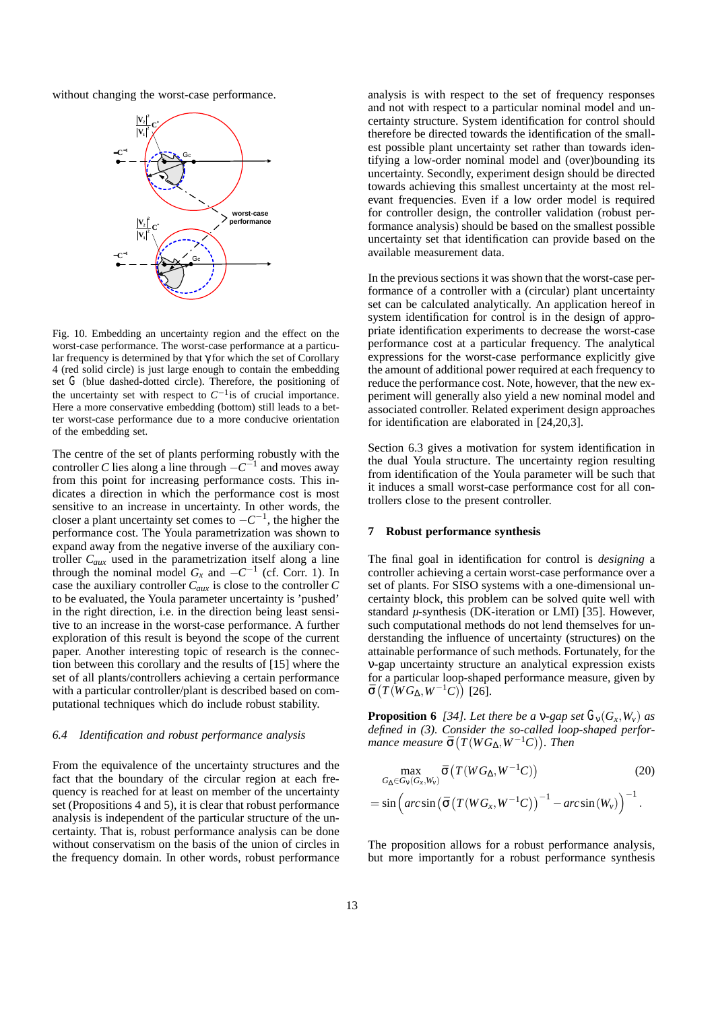without changing the worst-case performance.



Fig. 10. Embedding an uncertainty region and the effect on the worst-case performance. The worst-case performance at a particular frequency is determined by that  $\gamma$  for which the set of Corollary 4 (red solid circle) is just large enough to contain the embedding set *G* (blue dashed-dotted circle). Therefore, the positioning of the uncertainty set with respect to *C*<sup>−</sup>1is of crucial importance. Here a more conservative embedding (bottom) still leads to a better worst-case performance due to a more conducive orientation of the embedding set.

The centre of the set of plants performing robustly with the controller *C* lies along a line through  $-C^{-1}$  and moves away from this point for increasing performance costs. This indicates a direction in which the performance cost is most sensitive to an increase in uncertainty. In other words, the closer a plant uncertainty set comes to  $-C^{-1}$ , the higher the performance cost. The Youla parametrization was shown to expand away from the negative inverse of the auxiliary controller *Caux* used in the parametrization itself along a line through the nominal model  $G_x$  and  $-C^{-1}$  (cf. Corr. 1). In case the auxiliary controller *Caux* is close to the controller *C* to be evaluated, the Youla parameter uncertainty is 'pushed' in the right direction, i.e. in the direction being least sensitive to an increase in the worst-case performance. A further exploration of this result is beyond the scope of the current paper. Another interesting topic of research is the connection between this corollary and the results of [15] where the set of all plants/controllers achieving a certain performance with a particular controller/plant is described based on computational techniques which do include robust stability.

#### *6.4 Identification and robust performance analysis*

From the equivalence of the uncertainty structures and the fact that the boundary of the circular region at each frequency is reached for at least on member of the uncertainty set (Propositions 4 and 5), it is clear that robust performance analysis is independent of the particular structure of the uncertainty. That is, robust performance analysis can be done without conservatism on the basis of the union of circles in the frequency domain. In other words, robust performance analysis is with respect to the set of frequency responses and not with respect to a particular nominal model and uncertainty structure. System identification for control should therefore be directed towards the identification of the smallest possible plant uncertainty set rather than towards identifying a low-order nominal model and (over)bounding its uncertainty. Secondly, experiment design should be directed towards achieving this smallest uncertainty at the most relevant frequencies. Even if a low order model is required for controller design, the controller validation (robust performance analysis) should be based on the smallest possible uncertainty set that identification can provide based on the available measurement data.

In the previous sections it was shown that the worst-case performance of a controller with a (circular) plant uncertainty set can be calculated analytically. An application hereof in system identification for control is in the design of appropriate identification experiments to decrease the worst-case performance cost at a particular frequency. The analytical expressions for the worst-case performance explicitly give the amount of additional power required at each frequency to reduce the performance cost. Note, however, that the new experiment will generally also yield a new nominal model and associated controller. Related experiment design approaches for identification are elaborated in [24,20,3].

Section 6.3 gives a motivation for system identification in the dual Youla structure. The uncertainty region resulting from identification of the Youla parameter will be such that it induces a small worst-case performance cost for all controllers close to the present controller.

#### **7 Robust performance synthesis**

The final goal in identification for control is *designing* a controller achieving a certain worst-case performance over a set of plants. For SISO systems with a one-dimensional uncertainty block, this problem can be solved quite well with standard *µ*-synthesis (DK-iteration or LMI) [35]. However, such computational methods do not lend themselves for understanding the influence of uncertainty (structures) on the attainable performance of such methods. Fortunately, for the ν-gap uncertainty structure an analytical expression exists for a particular loop-shaped performance measure, given by  $\bar{\sigma}\left(T\left(\overline{W}G_\Delta,W^{-1}C\right)\right)$  [26].

**Proposition 6** [34]. Let there be a v-gap set  $G_v(G_x, W_v)$  as *defined in (3). Consider the so-called loop-shaped perfor* $m$ ance measure  $\bar{\sigma}(T(WG_{\Delta}, W^{-1}C))$ . Then

$$
\begin{aligned} \max_{G_{\Delta} \in G_{\mathcal{V}}(G_{\mathcal{X}}, W_{\mathcal{V}})} \bar{\sigma} \left( T(WG_{\Delta}, W^{-1}C) \right) & \qquad (20) \\ = \sin \left( \arcsin \left( \bar{\sigma} \left( T(WG_{\mathcal{X}}, W^{-1}C \right) \right)^{-1} - \arcsin \left( W_{\mathcal{V}} \right) \right)^{-1} . \end{aligned}
$$

The proposition allows for a robust performance analysis, but more importantly for a robust performance synthesis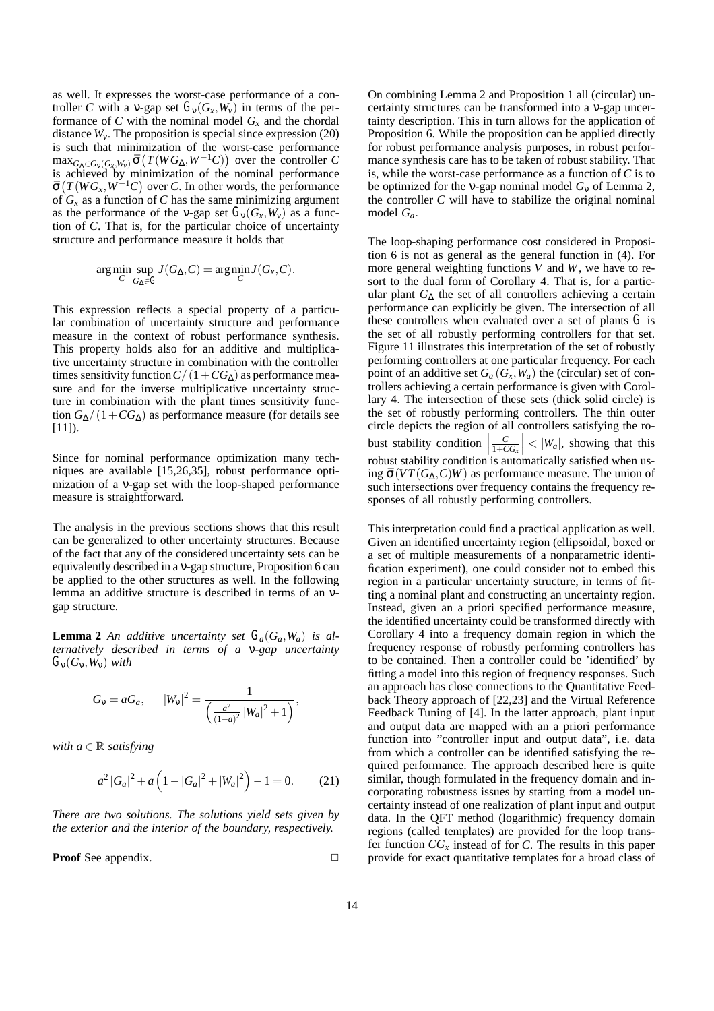as well. It expresses the worst-case performance of a controller *C* with a v-gap set  $G_v(G_x, W_v)$  in terms of the performance of  $C$  with the nominal model  $G_x$  and the chordal distance  $W_{\nu}$ . The proposition is special since expression (20) is such that minimization of the worst-case performance  $\max_{G_{\Delta} \in G_{\mathcal{V}}(G_{\mathcal{X}},W_{\mathcal{V}})} \bar{\sigma}(T(WG_{\Delta}, W^{-1}C))$  over the controller *C* is achieved by minimization of the nominal performance  $\bar{\sigma}(T(WG_x, W^{-1}C)$  over *C*. In other words, the performance of  $G_x$  as a function of *C* has the same minimizing argument as the performance of the v-gap set  $G_v(G_x, W_v)$  as a function of *C*. That is, for the particular choice of uncertainty structure and performance measure it holds that

$$
\arg\min_{C} \sup_{G_{\Delta} \in G} J(G_{\Delta}, C) = \arg\min_{C} J(G_{x}, C).
$$

This expression reflects a special property of a particular combination of uncertainty structure and performance measure in the context of robust performance synthesis. This property holds also for an additive and multiplicative uncertainty structure in combination with the controller times sensitivity function  $C/(1+CG<sub>\Delta</sub>)$  as performance measure and for the inverse multiplicative uncertainty structure in combination with the plant times sensitivity function  $G_{\Lambda}/(1+C G_{\Lambda})$  as performance measure (for details see  $[11]$ ).

Since for nominal performance optimization many techniques are available [15,26,35], robust performance optimization of a ν-gap set with the loop-shaped performance measure is straightforward.

The analysis in the previous sections shows that this result can be generalized to other uncertainty structures. Because of the fact that any of the considered uncertainty sets can be equivalently described in a ν-gap structure, Proposition 6 can be applied to the other structures as well. In the following lemma an additive structure is described in terms of an νgap structure.

**Lemma 2** An additive uncertainty set  $G_a(G_a, W_a)$  is al*ternatively described in terms of a* ν*-gap uncertainty*  $G_{\rm V}(G_{\rm V},W_{\rm V})$  *with* 

$$
G_v = aG_a
$$
,  $|W_v|^2 = \frac{1}{\left(\frac{a^2}{(1-a)^2}|W_a|^2 + 1\right)}$ ,

*with*  $a \in \mathbb{R}$  *satisfying* 

$$
a^{2}|G_{a}|^{2} + a\left(1 - |G_{a}|^{2} + |W_{a}|^{2}\right) - 1 = 0. \qquad (21)
$$

*There are two solutions. The solutions yield sets given by the exterior and the interior of the boundary, respectively.*

**Proof** See appendix. **□** 

On combining Lemma 2 and Proposition 1 all (circular) uncertainty structures can be transformed into a ν-gap uncertainty description. This in turn allows for the application of Proposition 6. While the proposition can be applied directly for robust performance analysis purposes, in robust performance synthesis care has to be taken of robust stability. That is, while the worst-case performance as a function of *C* is to be optimized for the ν-gap nominal model *G*<sup>ν</sup> of Lemma 2, the controller *C* will have to stabilize the original nominal model *Ga*.

The loop-shaping performance cost considered in Proposition 6 is not as general as the general function in (4). For more general weighting functions *V* and *W*, we have to resort to the dual form of Corollary 4. That is, for a particular plant *G*<sup>∆</sup> the set of all controllers achieving a certain performance can explicitly be given. The intersection of all these controllers when evaluated over a set of plants *G* is the set of all robustly performing controllers for that set. Figure 11 illustrates this interpretation of the set of robustly performing controllers at one particular frequency. For each point of an additive set  $G_a(G_x, W_a)$  the (circular) set of controllers achieving a certain performance is given with Corollary 4. The intersection of these sets (thick solid circle) is the set of robustly performing controllers. The thin outer circle depicts the region of all controllers satisfying the robust stability condition  $\left|\frac{C}{1+CG_x}\right| < |W_a|$ , showing that this robust stability condition is automatically satisfied when using  $\bar{\sigma}(VT(G_{\Lambda}, C)W)$  as performance measure. The union of such intersections over frequency contains the frequency responses of all robustly performing controllers.

This interpretation could find a practical application as well. Given an identified uncertainty region (ellipsoidal, boxed or a set of multiple measurements of a nonparametric identification experiment), one could consider not to embed this region in a particular uncertainty structure, in terms of fitting a nominal plant and constructing an uncertainty region. Instead, given an a priori specified performance measure, the identified uncertainty could be transformed directly with Corollary 4 into a frequency domain region in which the frequency response of robustly performing controllers has to be contained. Then a controller could be 'identified' by fitting a model into this region of frequency responses. Such an approach has close connections to the Quantitative Feedback Theory approach of [22,23] and the Virtual Reference Feedback Tuning of [4]. In the latter approach, plant input and output data are mapped with an a priori performance function into "controller input and output data", i.e. data from which a controller can be identified satisfying the required performance. The approach described here is quite similar, though formulated in the frequency domain and incorporating robustness issues by starting from a model uncertainty instead of one realization of plant input and output data. In the QFT method (logarithmic) frequency domain regions (called templates) are provided for the loop transfer function  $CG_x$  instead of for *C*. The results in this paper provide for exact quantitative templates for a broad class of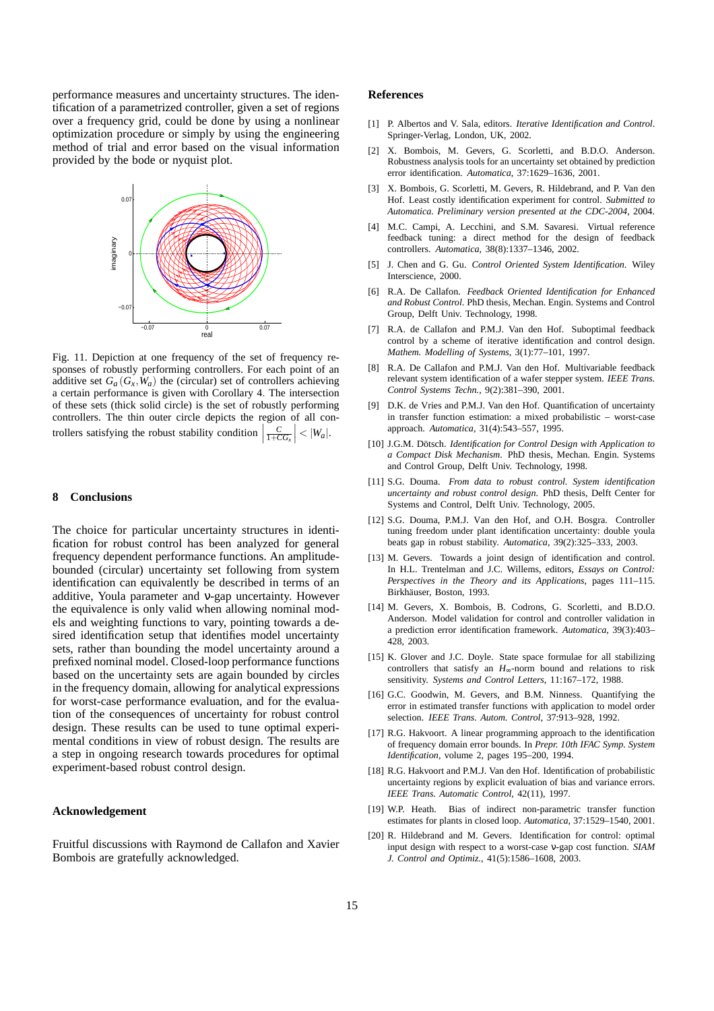performance measures and uncertainty structures. The identification of a parametrized controller, given a set of regions over a frequency grid, could be done by using a nonlinear optimization procedure or simply by using the engineering method of trial and error based on the visual information provided by the bode or nyquist plot.



Fig. 11. Depiction at one frequency of the set of frequency responses of robustly performing controllers. For each point of an additive set  $G_a(G_x, W_a)$  the (circular) set of controllers achieving a certain performance is given with Corollary 4. The intersection of these sets (thick solid circle) is the set of robustly performing controllers. The thin outer circle depicts the region of all controllers satisfying the robust stability condition  $\left|\frac{C}{1+CG_x}\right| < |W_a|$ .

#### **8 Conclusions**

The choice for particular uncertainty structures in identification for robust control has been analyzed for general frequency dependent performance functions. An amplitudebounded (circular) uncertainty set following from system identification can equivalently be described in terms of an additive, Youla parameter and ν-gap uncertainty. However the equivalence is only valid when allowing nominal models and weighting functions to vary, pointing towards a desired identification setup that identifies model uncertainty sets, rather than bounding the model uncertainty around a prefixed nominal model. Closed-loop performance functions based on the uncertainty sets are again bounded by circles in the frequency domain, allowing for analytical expressions for worst-case performance evaluation, and for the evaluation of the consequences of uncertainty for robust control design. These results can be used to tune optimal experimental conditions in view of robust design. The results are a step in ongoing research towards procedures for optimal experiment-based robust control design.

#### **Acknowledgement**

Fruitful discussions with Raymond de Callafon and Xavier Bombois are gratefully acknowledged.

#### **References**

- [1] P. Albertos and V. Sala, editors. *Iterative Identification and Control*. Springer-Verlag, London, UK, 2002.
- [2] X. Bombois, M. Gevers, G. Scorletti, and B.D.O. Anderson. Robustness analysis tools for an uncertainty set obtained by prediction error identification. *Automatica*, 37:1629–1636, 2001.
- [3] X. Bombois, G. Scorletti, M. Gevers, R. Hildebrand, and P. Van den Hof. Least costly identification experiment for control. *Submitted to Automatica. Preliminary version presented at the CDC-2004*, 2004.
- [4] M.C. Campi, A. Lecchini, and S.M. Savaresi. Virtual reference feedback tuning: a direct method for the design of feedback controllers. *Automatica*, 38(8):1337–1346, 2002.
- [5] J. Chen and G. Gu. *Control Oriented System Identification*. Wiley Interscience, 2000.
- [6] R.A. De Callafon. *Feedback Oriented Identification for Enhanced and Robust Control*. PhD thesis, Mechan. Engin. Systems and Control Group, Delft Univ. Technology, 1998.
- [7] R.A. de Callafon and P.M.J. Van den Hof. Suboptimal feedback control by a scheme of iterative identification and control design. *Mathem. Modelling of Systems*, 3(1):77–101, 1997.
- [8] R.A. De Callafon and P.M.J. Van den Hof. Multivariable feedback relevant system identification of a wafer stepper system. *IEEE Trans. Control Systems Techn.*, 9(2):381–390, 2001.
- [9] D.K. de Vries and P.M.J. Van den Hof. Quantification of uncertainty in transfer function estimation: a mixed probabilistic – worst-case approach. *Automatica*, 31(4):543–557, 1995.
- [10] J.G.M. Dötsch. *Identification for Control Design with Application to a Compact Disk Mechanism*. PhD thesis, Mechan. Engin. Systems and Control Group, Delft Univ. Technology, 1998.
- [11] S.G. Douma. *From data to robust control. System identification uncertainty and robust control design*. PhD thesis, Delft Center for Systems and Control, Delft Univ. Technology, 2005.
- [12] S.G. Douma, P.M.J. Van den Hof, and O.H. Bosgra. Controller tuning freedom under plant identification uncertainty: double youla beats gap in robust stability. *Automatica*, 39(2):325–333, 2003.
- [13] M. Gevers. Towards a joint design of identification and control. In H.L. Trentelman and J.C. Willems, editors, *Essays on Control: Perspectives in the Theory and its Applications*, pages 111–115. Birkhäuser, Boston, 1993.
- [14] M. Gevers, X. Bombois, B. Codrons, G. Scorletti, and B.D.O. Anderson. Model validation for control and controller validation in a prediction error identification framework. *Automatica*, 39(3):403– 428, 2003.
- [15] K. Glover and J.C. Doyle. State space formulae for all stabilizing controllers that satisfy an *H*∞-norm bound and relations to risk sensitivity. *Systems and Control Letters*, 11:167–172, 1988.
- [16] G.C. Goodwin, M. Gevers, and B.M. Ninness. Quantifying the error in estimated transfer functions with application to model order selection. *IEEE Trans. Autom. Control*, 37:913–928, 1992.
- [17] R.G. Hakvoort. A linear programming approach to the identification of frequency domain error bounds. In *Prepr. 10th IFAC Symp. System Identification*, volume 2, pages 195–200, 1994.
- [18] R.G. Hakvoort and P.M.J. Van den Hof. Identification of probabilistic uncertainty regions by explicit evaluation of bias and variance errors. *IEEE Trans. Automatic Control*, 42(11), 1997.
- [19] W.P. Heath. Bias of indirect non-parametric transfer function estimates for plants in closed loop. *Automatica*, 37:1529–1540, 2001.
- [20] R. Hildebrand and M. Gevers. Identification for control: optimal input design with respect to a worst-case ν-gap cost function. *SIAM J. Control and Optimiz.*, 41(5):1586–1608, 2003.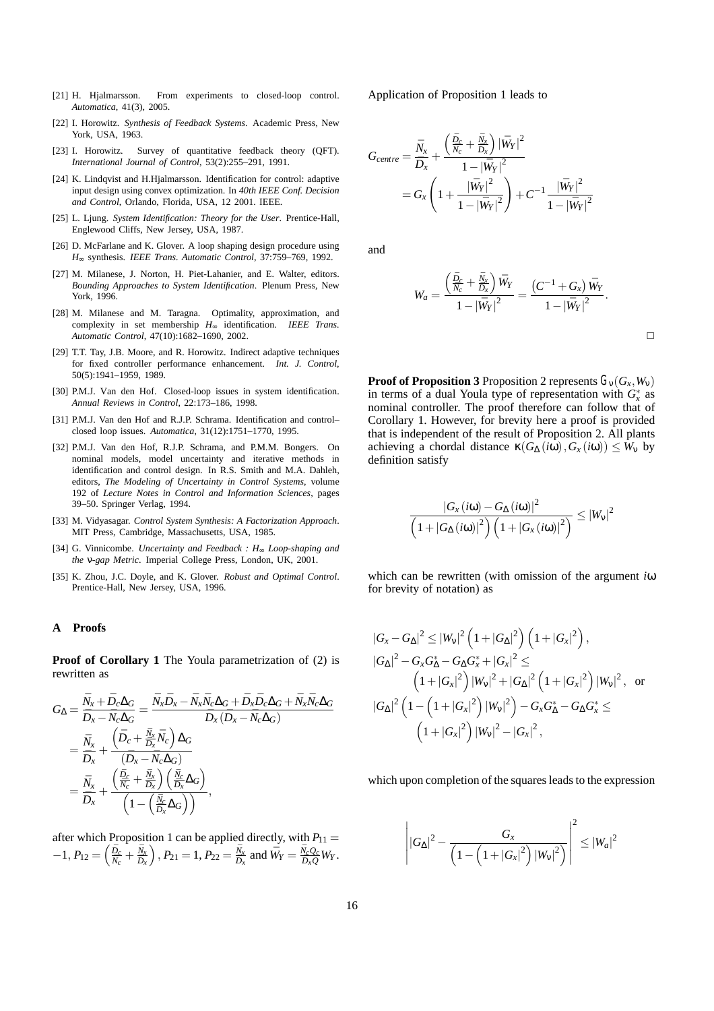- [21] H. Hjalmarsson. From experiments to closed-loop control. *Automatica*, 41(3), 2005.
- [22] I. Horowitz. *Synthesis of Feedback Systems*. Academic Press, New York, USA, 1963.
- [23] I. Horowitz. Survey of quantitative feedback theory (QFT). *International Journal of Control*, 53(2):255–291, 1991.
- [24] K. Lindqvist and H.Hjalmarsson. Identification for control: adaptive input design using convex optimization. In *40th IEEE Conf. Decision and Control*, Orlando, Florida, USA, 12 2001. IEEE.
- [25] L. Ljung. *System Identification: Theory for the User*. Prentice-Hall, Englewood Cliffs, New Jersey, USA, 1987.
- [26] D. McFarlane and K. Glover. A loop shaping design procedure using *H*<sup>∞</sup> synthesis. *IEEE Trans. Automatic Control*, 37:759–769, 1992.
- [27] M. Milanese, J. Norton, H. Piet-Lahanier, and E. Walter, editors. *Bounding Approaches to System Identification*. Plenum Press, New York, 1996.
- [28] M. Milanese and M. Taragna. Optimality, approximation, and complexity in set membership *H*<sup>∞</sup> identification. *IEEE Trans. Automatic Control*, 47(10):1682–1690, 2002.
- [29] T.T. Tay, J.B. Moore, and R. Horowitz. Indirect adaptive techniques for fixed controller performance enhancement. *Int. J. Control*, 50(5):1941–1959, 1989.
- [30] P.M.J. Van den Hof. Closed-loop issues in system identification. *Annual Reviews in Control*, 22:173–186, 1998.
- [31] P.M.J. Van den Hof and R.J.P. Schrama. Identification and control– closed loop issues. *Automatica*, 31(12):1751–1770, 1995.
- [32] P.M.J. Van den Hof, R.J.P. Schrama, and P.M.M. Bongers. On nominal models, model uncertainty and iterative methods in identification and control design. In R.S. Smith and M.A. Dahleh, editors, *The Modeling of Uncertainty in Control Systems*, volume 192 of *Lecture Notes in Control and Information Sciences*, pages 39–50. Springer Verlag, 1994.
- [33] M. Vidyasagar. *Control System Synthesis: A Factorization Approach*. MIT Press, Cambridge, Massachusetts, USA, 1985.
- [34] G. Vinnicombe. *Uncertainty and Feedback : H*<sup>∞</sup> *Loop-shaping and the* ν*-gap Metric*. Imperial College Press, London, UK, 2001.
- [35] K. Zhou, J.C. Doyle, and K. Glover. *Robust and Optimal Control*. Prentice-Hall, New Jersey, USA, 1996.

#### **A Proofs**

**Proof of Corollary 1** The Youla parametrization of (2) is rewritten as

$$
G_{\Delta} = \frac{\bar{N}_x + \bar{D}_c \Delta_G}{\bar{D}_x - \bar{N}_c \Delta_G} = \frac{\bar{N}_x \bar{D}_x - \bar{N}_x \bar{N}_c \Delta_G + \bar{D}_x \bar{D}_c \Delta_G + \bar{N}_x \bar{N}_c \Delta_G}{\bar{D}_x (\bar{D}_x - \bar{N}_c \Delta_G)}
$$
  
= 
$$
\frac{\bar{N}_x}{\bar{D}_x} + \frac{(\bar{D}_c + \frac{\bar{N}_x}{\bar{D}_x} \bar{N}_c) \Delta_G}{(\bar{D}_x - \bar{N}_c \Delta_G)}
$$
  
= 
$$
\frac{\bar{N}_x}{\bar{D}_x} + \frac{(\frac{\bar{D}_c}{\bar{N}_c} + \frac{\bar{N}_x}{\bar{D}_x}) (\frac{\bar{N}_c}{\bar{D}_x} \Delta_G)}{(1 - (\frac{\bar{N}_c}{\bar{D}_x} \Delta_G))},
$$

after which Proposition 1 can be applied directly, with  $P_{11} =$  $-1, P_{12} = \left(\frac{\bar{D}_c}{\bar{N}_c} + \frac{\bar{N}_x}{\bar{D}_x}\right), P_{21} = 1, P_{22} = \frac{\bar{N}_x}{\bar{D}_x}$  and  $\bar{W}_Y = \frac{\bar{N}_c Q_c}{\bar{D}_x Q} W_Y$ . Application of Proposition 1 leads to

$$
G_{centre} = \frac{\bar{N}_x}{\bar{D}_x} + \frac{\left(\frac{\bar{D}_c}{\bar{N}_c} + \frac{\bar{N}_x}{\bar{D}_x}\right) |\bar{W}_Y|^2}{1 - |\bar{W}_Y|^2}
$$
  
=  $G_x \left(1 + \frac{|\bar{W}_Y|^2}{1 - |\bar{W}_Y|^2}\right) + C^{-1} \frac{|\bar{W}_Y|^2}{1 - |\bar{W}_Y|^2}$ 

and

$$
W_a = \frac{\left(\frac{\bar{D}_c}{\bar{N}_c} + \frac{\bar{N}_x}{\bar{D}_x}\right)\bar{W}_Y}{1 - \left|\bar{W}_Y\right|^2} = \frac{\left(C^{-1} + G_x\right)\bar{W}_Y}{1 - \left|\bar{W}_Y\right|^2}.
$$

 $\Box$ 

**Proof of Proposition 3** Proposition 2 represents  $G_v(G_x, W_v)$ in terms of a dual Youla type of representation with  $G_x^*$  as nominal controller. The proof therefore can follow that of Corollary 1. However, for brevity here a proof is provided that is independent of the result of Proposition 2. All plants achieving a chordal distance  $\kappa(G_\Lambda(i\omega), G_\chi(i\omega)) \leq W_\nu$  by definition satisfy

$$
\frac{\left|G_{x}(i\omega)-G_{\Delta}(i\omega)\right|^{2}}{\left(1+\left|G_{\Delta}(i\omega)\right|^{2}\right)\left(1+\left|G_{x}(i\omega)\right|^{2}\right)} \leq \left|W_{v}\right|^{2}
$$

which can be rewritten (with omission of the argument *i*ω for brevity of notation) as

$$
|G_{x} - G_{\Delta}|^{2} \leq |W_{v}|^{2} \left(1 + |G_{\Delta}|^{2}\right) \left(1 + |G_{x}|^{2}\right),
$$
  
\n
$$
|G_{\Delta}|^{2} - G_{x}G_{\Delta}^{*} - G_{\Delta}G_{x}^{*} + |G_{x}|^{2} \leq
$$
  
\n
$$
\left(1 + |G_{x}|^{2}\right)|W_{v}|^{2} + |G_{\Delta}|^{2} \left(1 + |G_{x}|^{2}\right)|W_{v}|^{2}, \text{ or}
$$
  
\n
$$
|G_{\Delta}|^{2} \left(1 - \left(1 + |G_{x}|^{2}\right)|W_{v}|^{2}\right) - G_{x}G_{\Delta}^{*} - G_{\Delta}G_{x}^{*} \leq
$$
  
\n
$$
\left(1 + |G_{x}|^{2}\right)|W_{v}|^{2} - |G_{x}|^{2},
$$

which upon completion of the squares leads to the expression

$$
\left| |G_{\Delta}|^2 - \frac{G_x}{\left(1 - \left(1 + |G_x|^2\right) |W_v|^2\right)}\right|^2 \leq |W_a|^2
$$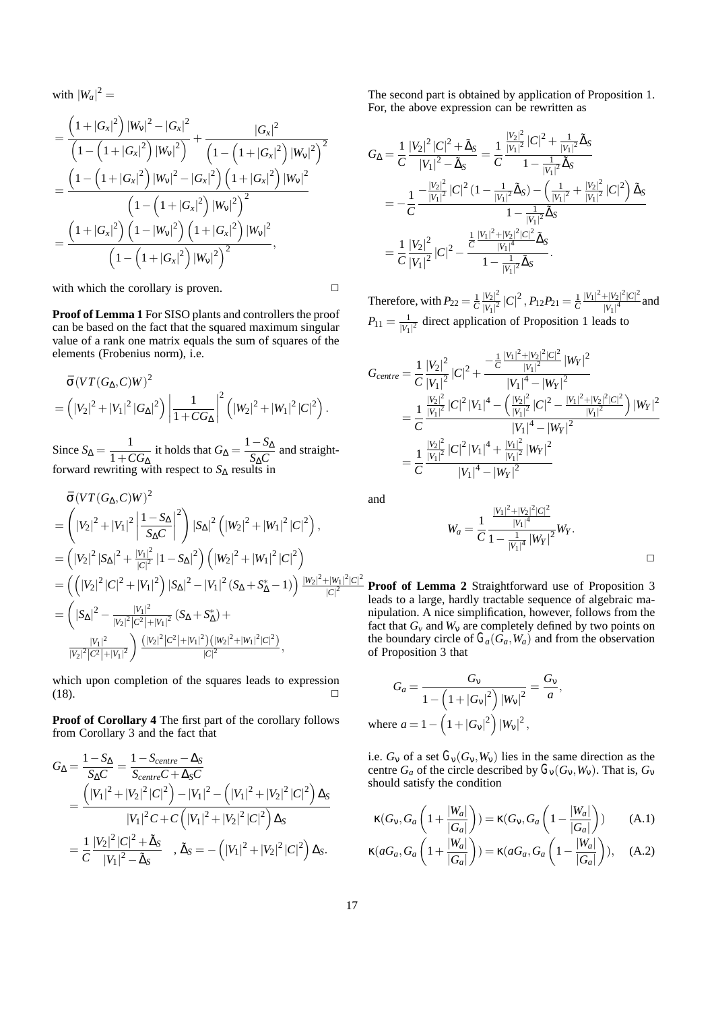with  $|W_a|^2 =$ 

$$
=\frac{\left(1+|G_{x}|^{2}\right)|W_{v}|^{2}-|G_{x}|^{2}}{\left(1-\left(1+|G_{x}|^{2}\right)|W_{v}|^{2}\right)}+\frac{|G_{x}|^{2}}{\left(1-\left(1+|G_{x}|^{2}\right)|W_{v}|^{2}\right)^{2}}\\=\frac{\left(1-\left(1+|G_{x}|^{2}\right)|W_{v}|^{2}-|G_{x}|^{2}\right)\left(1+|G_{x}|^{2}\right)|W_{v}|^{2}}{\left(1-\left(1+|G_{x}|^{2}\right)|W_{v}|^{2}\right)^{2}}\\=\frac{\left(1+|G_{x}|^{2}\right)\left(1-|W_{v}|^{2}\right)\left(1+|G_{x}|^{2}\right)|W_{v}|^{2}}{\left(1-\left(1+|G_{x}|^{2}\right)|W_{v}|^{2}\right)^{2}},
$$

with which the corollary is proven.  $\Box$ 

**Proof of Lemma 1** For SISO plants and controllers the proof can be based on the fact that the squared maximum singular value of a rank one matrix equals the sum of squares of the elements (Frobenius norm), i.e.

$$
\bar{\sigma} (V T (G_{\Delta}, C) W)^{2}
$$
  
=  $(|V_2|^2 + |V_1|^2 |G_{\Delta}|^2) \left| \frac{1}{1 + CG_{\Delta}} \right|^2 (|W_2|^2 + |W_1|^2 |C|^2).$ 

Since  $S_{\Delta} = \frac{1}{1 + CG_{\Delta}}$  it holds that  $G_{\Delta} = \frac{1 - S_{\Delta}}{S_{\Delta}C}$  and straightforward rewriting with respect to  $S_\Delta$  results in

$$
\bar{\sigma}(VT(G_{\Delta}, C)W)^{2}
$$
\n
$$
= \left(|V_{2}|^{2} + |V_{1}|^{2} \left|\frac{1 - S_{\Delta}}{S_{\Delta}C}\right|^{2}\right) |S_{\Delta}|^{2} \left(|W_{2}|^{2} + |W_{1}|^{2} |C|^{2}\right),
$$
\n
$$
= \left(|V_{2}|^{2} |S_{\Delta}|^{2} + \frac{|V_{1}|^{2}}{|C|^{2}} |1 - S_{\Delta}|^{2}\right) \left(|W_{2}|^{2} + |W_{1}|^{2} |C|^{2}\right)
$$
\n
$$
= \left(\left(|V_{2}|^{2} |C|^{2} + |V_{1}|^{2}\right) |S_{\Delta}|^{2} - |V_{1}|^{2} (S_{\Delta} + S_{\Delta}^{*} - 1)\right) \frac{|W_{2}|^{2} + |W_{1}|^{2} |C|^{2}}{|C|^{2}}
$$
\n
$$
= \left(|S_{\Delta}|^{2} - \frac{|V_{1}|^{2}}{|V_{2}|^{2} |C^{2}| + |V_{1}|^{2}} (S_{\Delta} + S_{\Delta}^{*}) + \frac{|V_{1}|^{2}}{|C|^{2} |C^{2}| + |V_{1}|^{2}} \right) \frac{\left(|V_{2}|^{2} |C^{2}| + |V_{1}|^{2}\right) \left(|W_{2}|^{2} + |W_{1}|^{2} |C|^{2}\right)}{|C|^{2}},
$$

which upon completion of the squares leads to expression  $(18)$ .

**Proof of Corollary 4** The first part of the corollary follows from Corollary 3 and the fact that

$$
G_{\Delta} = \frac{1 - S_{\Delta}}{S_{\Delta}C} = \frac{1 - S_{centre} - \Delta_S}{S_{centre}C + \Delta_S C}
$$
  
= 
$$
\frac{(|V_1|^2 + |V_2|^2|C|^2) - |V_1|^2 - (|V_1|^2 + |V_2|^2|C|^2) \Delta_S}{|V_1|^2 C + C (|V_1|^2 + |V_2|^2|C|^2) \Delta_S}
$$
  
= 
$$
\frac{1}{C} \frac{|V_2|^2|C|^2 + \Delta_S}{|V_1|^2 - \Delta_S}, \Delta_S = - (|V_1|^2 + |V_2|^2|C|^2) \Delta_S.
$$

The second part is obtained by application of Proposition 1. For, the above expression can be rewritten as

$$
G_{\Delta} = \frac{1}{C} \frac{|V_2|^2 |C|^2 + \tilde{\Delta}_S}{|V_1|^2 - \tilde{\Delta}_S} = \frac{1}{C} \frac{\frac{|V_2|^2}{|V_1|^2} |C|^2 + \frac{1}{|V_1|^2} \tilde{\Delta}_S}{1 - \frac{1}{|V_1|^2} \tilde{\Delta}_S}
$$
  
= 
$$
-\frac{1}{C} \frac{-\frac{|V_2|^2}{|V_1|^2} |C|^2 (1 - \frac{1}{|V_1|^2} \tilde{\Delta}_S) - (\frac{1}{|V_1|^2} + \frac{|V_2|^2}{|V_1|^2} |C|^2) \tilde{\Delta}_S}{1 - \frac{1}{|V_1|^2} \tilde{\Delta}_S}
$$
  
= 
$$
\frac{1}{C} \frac{|V_2|^2}{|V_1|^2} |C|^2 - \frac{\frac{1}{C} \frac{|V_1|^2 + |V_2|^2 |C|^2}{|V_1|^4} \tilde{\Delta}_S}{1 - \frac{1}{|V_1|^2} \tilde{\Delta}_S}.
$$

Therefore, with  $P_{22} = \frac{1}{C} \frac{|V_2|^2}{|V_1|^2}$  $\frac{|V_2|^2}{|V_1|^2}\,|C|^2$  ,  $P_{12}P_{21}=\frac{1}{C}\frac{|V_1|^2+|V_2|^2|C|^2}{|V_1|^4}$  $\frac{|V_1|^4}{|V_1|^4}$  and  $P_{11} = \frac{1}{|V_1|^2}$  direct application of Proposition 1 leads to

$$
G_{centre} = \frac{1}{C} \frac{|V_2|^2}{|V_1|^2} |C|^2 + \frac{-\frac{1}{C} \frac{|V_1|^2 + |V_2|^2 |C|^2}{|V_1|^2} |W_Y|^2}{|V_1|^4 - |W_Y|^2}
$$
  
\n
$$
= \frac{1}{C} \frac{\frac{|V_2|^2}{|V_1|^2} |C|^2 |V_1|^4 - \left(\frac{|V_2|^2}{|V_1|^2} |C|^2 - \frac{|V_1|^2 + |V_2|^2 |C|^2}{|V_1|^2}\right) |W_Y|^2}{|V_1|^4 - |W_Y|^2}
$$
  
\n
$$
= \frac{1}{C} \frac{\frac{|V_2|^2}{|V_1|^2} |C|^2 |V_1|^4 + \frac{|V_1|^2}{|V_1|^2} |W_Y|^2}{|V_1|^4 - |W_Y|^2}
$$

and

$$
W_a = \frac{1}{C} \frac{\frac{|V_1|^2 + |V_2|^2 |C|^2}{|V_1|^4}}{1 - \frac{1}{|V_1|^4} |W_Y|^2} W_Y.
$$

 $\frac{2|C|^2}{P}$  **Proof of Lemma 2** Straightforward use of Proposition 3 leads to a large, hardly tractable sequence of algebraic manipulation. A nice simplification, however, follows from the fact that  $G_v$  and  $W_v$  are completely defined by two points on the boundary circle of  $G_a(G_a, W_a)$  and from the observation of Proposition 3 that

$$
G_a = \frac{G_v}{1 - \left(1 + |G_v|^2\right) |W_v|^2} = \frac{G_v}{a},
$$
  
where  $a = 1 - \left(1 + |G_v|^2\right) |W_v|^2$ ,

i.e.  $G_v$  of a set  $G_v(G_v, W_v)$  lies in the same direction as the centre  $G_a$  of the circle described by  $G_v(G_v, W_v)$ . That is,  $G_v$ should satisfy the condition

$$
\kappa(G_{\mathsf{V}}, G_a \left(1 + \frac{|W_a|}{|G_a|}\right)) = \kappa(G_{\mathsf{V}}, G_a \left(1 - \frac{|W_a|}{|G_a|}\right)) \tag{A.1}
$$
\n
$$
\kappa(aG_a, G_a \left(1 + \frac{|W_a|}{|G_a|}\right)) = \kappa(aG_a, G_a \left(1 - \frac{|W_a|}{|G_a|}\right)), \tag{A.2}
$$